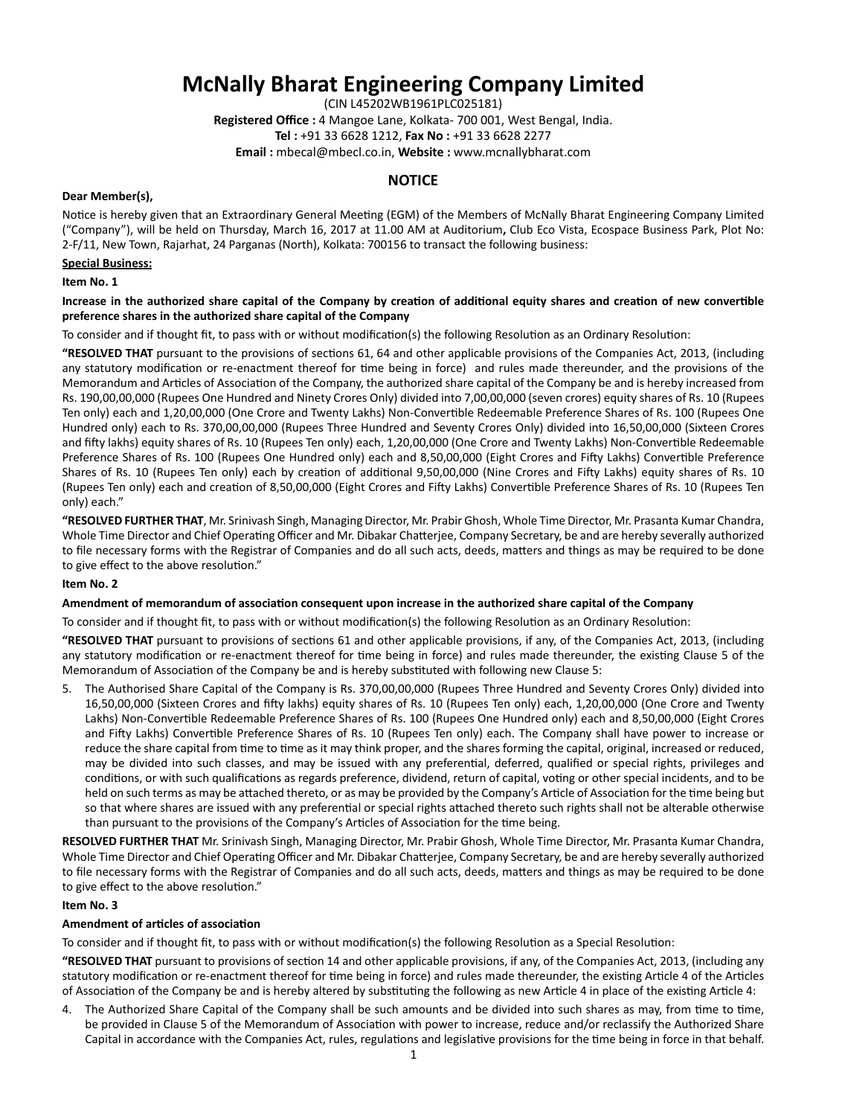# **McNally Bharat Engineering Company Limited**

(CIN L45202WB1961PLC025181)

**Registered Office :** 4 Mangoe Lane, Kolkata- 700 001, West Bengal, India. **Tel :** +91 33 6628 1212, **Fax No :** +91 33 6628 2277

**Email :** mbecal@mbecl.co.in, **Website :** www.mcnallybharat.com

# **NOTICE**

## **Dear Member(s),**

Notice is hereby given that an Extraordinary General Meeting (EGM) of the Members of McNally Bharat Engineering Company Limited ("Company"), will be held on Thursday, March 16, 2017 at 11.00 AM at Auditorium**,** Club Eco Vista, Ecospace Business Park, Plot No: 2-F/11, New Town, Rajarhat, 24 Parganas (North), Kolkata: 700156 to transact the following business:

## **Special Business:**

## **Item No. 1**

## Increase in the authorized share capital of the Company by creation of additional equity shares and creation of new convertible **preference shares in the authorized share capital of the Company**

To consider and if thought fit, to pass with or without modification(s) the following Resolution as an Ordinary Resolution:

**"RESOLVED THAT** pursuant to the provisions of sections 61, 64 and other applicable provisions of the Companies Act, 2013, (including any statutory modification or re-enactment thereof for time being in force) and rules made thereunder, and the provisions of the Memorandum and Articles of Association of the Company, the authorized share capital of the Company be and is hereby increased from Rs. 190,00,00,000 (Rupees One Hundred and Ninety Crores Only) divided into 7,00,00,000 (seven crores) equity shares of Rs. 10 (Rupees Ten only) each and 1,20,00,000 (One Crore and Twenty Lakhs) Non-Convertible Redeemable Preference Shares of Rs. 100 (Rupees One Hundred only) each to Rs. 370,00,00,000 (Rupees Three Hundred and Seventy Crores Only) divided into 16,50,00,000 (Sixteen Crores and fifty lakhs) equity shares of Rs. 10 (Rupees Ten only) each, 1,20,00,000 (One Crore and Twenty Lakhs) Non-Convertible Redeemable Preference Shares of Rs. 100 (Rupees One Hundred only) each and 8,50,00,000 (Eight Crores and Fifty Lakhs) Convertible Preference Shares of Rs. 10 (Rupees Ten only) each by creation of additional 9,50,00,000 (Nine Crores and Fifty Lakhs) equity shares of Rs. 10 (Rupees Ten only) each and creation of 8,50,00,000 (Eight Crores and Fifty Lakhs) Convertible Preference Shares of Rs. 10 (Rupees Ten only) each."

**"RESOLVED FURTHER THAT**, Mr. Srinivash Singh, Managing Director, Mr. Prabir Ghosh, Whole Time Director, Mr. Prasanta Kumar Chandra, Whole Time Director and Chief Operating Officer and Mr. Dibakar Chatteriee, Company Secretary, be and are hereby severally authorized to file necessary forms with the Registrar of Companies and do all such acts, deeds, matters and things as may be required to be done to give effect to the above resolution."

## **Item No. 2**

## **Amendment of memorandum of associaƟ on consequent upon increase in the authorized share capital of the Company**

To consider and if thought fit, to pass with or without modification(s) the following Resolution as an Ordinary Resolution:

"RESOLVED THAT pursuant to provisions of sections 61 and other applicable provisions, if any, of the Companies Act, 2013, (including any statutory modification or re-enactment thereof for time being in force) and rules made thereunder, the existing Clause 5 of the Memorandum of Association of the Company be and is hereby substituted with following new Clause 5:

5. The Authorised Share Capital of the Company is Rs. 370,00,00,000 (Rupees Three Hundred and Seventy Crores Only) divided into 16,50,00,000 (Sixteen Crores and fifty lakhs) equity shares of Rs. 10 (Rupees Ten only) each, 1,20,00,000 (One Crore and Twenty Lakhs) Non-Convertible Redeemable Preference Shares of Rs. 100 (Rupees One Hundred only) each and 8,50,00,000 (Eight Crores and Fifty Lakhs) Convertible Preference Shares of Rs. 10 (Rupees Ten only) each. The Company shall have power to increase or reduce the share capital from time to time as it may think proper, and the shares forming the capital, original, increased or reduced, may be divided into such classes, and may be issued with any preferential, deferred, qualified or special rights, privileges and conditions, or with such qualifications as regards preference, dividend, return of capital, voting or other special incidents, and to be held on such terms as may be attached thereto, or as may be provided by the Company's Article of Association for the time being but so that where shares are issued with any preferential or special rights attached thereto such rights shall not be alterable otherwise than pursuant to the provisions of the Company's Articles of Association for the time being.

**RESOLVED FURTHER THAT** Mr. Srinivash Singh, Managing Director, Mr. Prabir Ghosh, Whole Time Director, Mr. Prasanta Kumar Chandra, Whole Time Director and Chief Operating Officer and Mr. Dibakar Chatterjee, Company Secretary, be and are hereby severally authorized to file necessary forms with the Registrar of Companies and do all such acts, deeds, matters and things as may be required to be done to give effect to the above resolution."

## **Item No. 3**

## **Amendment of articles of association**

To consider and if thought fit, to pass with or without modification(s) the following Resolution as a Special Resolution:

"RESOLVED THAT pursuant to provisions of section 14 and other applicable provisions, if any, of the Companies Act, 2013, (including any statutory modification or re-enactment thereof for time being in force) and rules made thereunder, the existing Article 4 of the Articles of Association of the Company be and is hereby altered by substituting the following as new Article 4 in place of the existing Article 4:

4. The Authorized Share Capital of the Company shall be such amounts and be divided into such shares as may, from time to time, be provided in Clause 5 of the Memorandum of Association with power to increase, reduce and/or reclassify the Authorized Share Capital in accordance with the Companies Act, rules, regulations and legislative provisions for the time being in force in that behalf.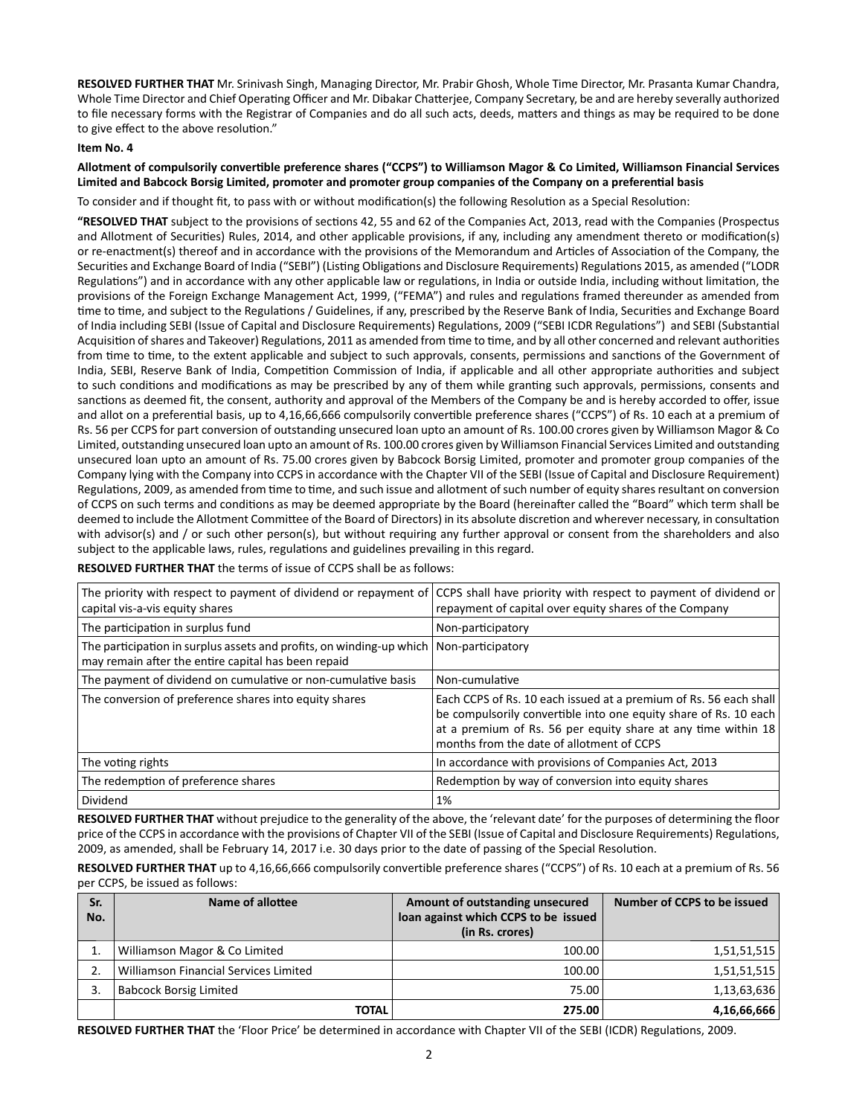**RESOLVED FURTHER THAT** Mr. Srinivash Singh, Managing Director, Mr. Prabir Ghosh, Whole Time Director, Mr. Prasanta Kumar Chandra, Whole Time Director and Chief Operating Officer and Mr. Dibakar Chatterjee, Company Secretary, be and are hereby severally authorized to file necessary forms with the Registrar of Companies and do all such acts, deeds, matters and things as may be required to be done to give effect to the above resolution."

## **Item No. 4**

Allotment of compulsorily convertible preference shares ("CCPS") to Williamson Magor & Co Limited, Williamson Financial Services Limited and Babcock Borsig Limited, promoter and promoter group companies of the Company on a preferential basis

To consider and if thought fit, to pass with or without modification(s) the following Resolution as a Special Resolution:

"RESOLVED THAT subject to the provisions of sections 42, 55 and 62 of the Companies Act, 2013, read with the Companies (Prospectus and Allotment of Securities) Rules, 2014, and other applicable provisions, if any, including any amendment thereto or modification(s) or re-enactment(s) thereof and in accordance with the provisions of the Memorandum and Articles of Association of the Company, the Securities and Exchange Board of India ("SEBI") (Listing Obligations and Disclosure Requirements) Regulations 2015, as amended ("LODR Regulations") and in accordance with any other applicable law or regulations, in India or outside India, including without limitation, the provisions of the Foreign Exchange Management Act, 1999, ("FEMA") and rules and regulations framed thereunder as amended from time to time, and subject to the Regulations / Guidelines, if any, prescribed by the Reserve Bank of India, Securities and Exchange Board of India including SEBI (Issue of Capital and Disclosure Requirements) Regulations, 2009 ("SEBI ICDR Regulations") and SEBI (Substantial Acquisition of shares and Takeover) Regulations, 2011 as amended from time to time, and by all other concerned and relevant authorities from time to time, to the extent applicable and subject to such approvals, consents, permissions and sanctions of the Government of India, SEBI, Reserve Bank of India, Competition Commission of India, if applicable and all other appropriate authorities and subject to such conditions and modifications as may be prescribed by any of them while granting such approvals, permissions, consents and sanctions as deemed fit, the consent, authority and approval of the Members of the Company be and is hereby accorded to offer, issue and allot on a preferential basis, up to 4,16,66,666 compulsorily convertible preference shares ("CCPS") of Rs. 10 each at a premium of Rs. 56 per CCPS for part conversion of outstanding unsecured loan upto an amount of Rs. 100.00 crores given by Williamson Magor & Co Limited, outstanding unsecured loan upto an amount of Rs. 100.00 crores given by Williamson Financial Services Limited and outstanding unsecured loan upto an amount of Rs. 75.00 crores given by Babcock Borsig Limited, promoter and promoter group companies of the Company lying with the Company into CCPS in accordance with the Chapter VII of the SEBI (Issue of Capital and Disclosure Requirement) Regulations, 2009, as amended from time to time, and such issue and allotment of such number of equity shares resultant on conversion of CCPS on such terms and conditions as may be deemed appropriate by the Board (hereinafter called the "Board" which term shall be deemed to include the Allotment Committee of the Board of Directors) in its absolute discretion and wherever necessary, in consultation with advisor(s) and / or such other person(s), but without requiring any further approval or consent from the shareholders and also subject to the applicable laws, rules, regulations and guidelines prevailing in this regard.

|  |  | <b>RESOLVED FURTHER THAT</b> the terms of issue of CCPS shall be as follows: |
|--|--|------------------------------------------------------------------------------|
|--|--|------------------------------------------------------------------------------|

| The priority with respect to payment of dividend or repayment of CCPS shall have priority with respect to payment of dividend or<br>capital vis-a-vis equity shares | repayment of capital over equity shares of the Company                                                                                                                                                                                                |
|---------------------------------------------------------------------------------------------------------------------------------------------------------------------|-------------------------------------------------------------------------------------------------------------------------------------------------------------------------------------------------------------------------------------------------------|
| The participation in surplus fund                                                                                                                                   | Non-participatory                                                                                                                                                                                                                                     |
| The participation in surplus assets and profits, on winding-up which<br>may remain after the entire capital has been repaid                                         | Non-participatory                                                                                                                                                                                                                                     |
| The payment of dividend on cumulative or non-cumulative basis                                                                                                       | Non-cumulative                                                                                                                                                                                                                                        |
| The conversion of preference shares into equity shares                                                                                                              | Each CCPS of Rs. 10 each issued at a premium of Rs. 56 each shall<br>be compulsorily convertible into one equity share of Rs. 10 each<br>at a premium of Rs. 56 per equity share at any time within $18$<br>months from the date of allotment of CCPS |
| The voting rights                                                                                                                                                   | In accordance with provisions of Companies Act, 2013                                                                                                                                                                                                  |
| The redemption of preference shares                                                                                                                                 | Redemption by way of conversion into equity shares                                                                                                                                                                                                    |
| Dividend                                                                                                                                                            | 1%                                                                                                                                                                                                                                                    |

**RESOLVED FURTHER THAT** without prejudice to the generality of the above, the 'relevant date' for the purposes of determining the floor price of the CCPS in accordance with the provisions of Chapter VII of the SEBI (Issue of Capital and Disclosure Requirements) Regulations, 2009, as amended, shall be February 14, 2017 i.e. 30 days prior to the date of passing of the Special Resolution.

**RESOLVED FURTHER THAT** up to 4,16,66,666 compulsorily convertible preference shares ("CCPS") of Rs. 10 each at a premium of Rs. 56 per CCPS, be issued as follows:

| Sr.<br>No. | Name of allottee                             | Amount of outstanding unsecured<br>loan against which CCPS to be issued<br>(in Rs. crores) | Number of CCPS to be issued |
|------------|----------------------------------------------|--------------------------------------------------------------------------------------------|-----------------------------|
|            | Williamson Magor & Co Limited                | 100.00                                                                                     | 1,51,51,515                 |
|            | <b>Williamson Financial Services Limited</b> | 100.00                                                                                     | 1,51,51,515                 |
| 3.         | <b>Babcock Borsig Limited</b>                | 75.00                                                                                      | 1,13,63,636                 |
|            | <b>TOTAL</b>                                 | 275.00                                                                                     | 4,16,66,666                 |

RESOLVED FURTHER THAT the 'Floor Price' be determined in accordance with Chapter VII of the SEBI (ICDR) Regulations, 2009.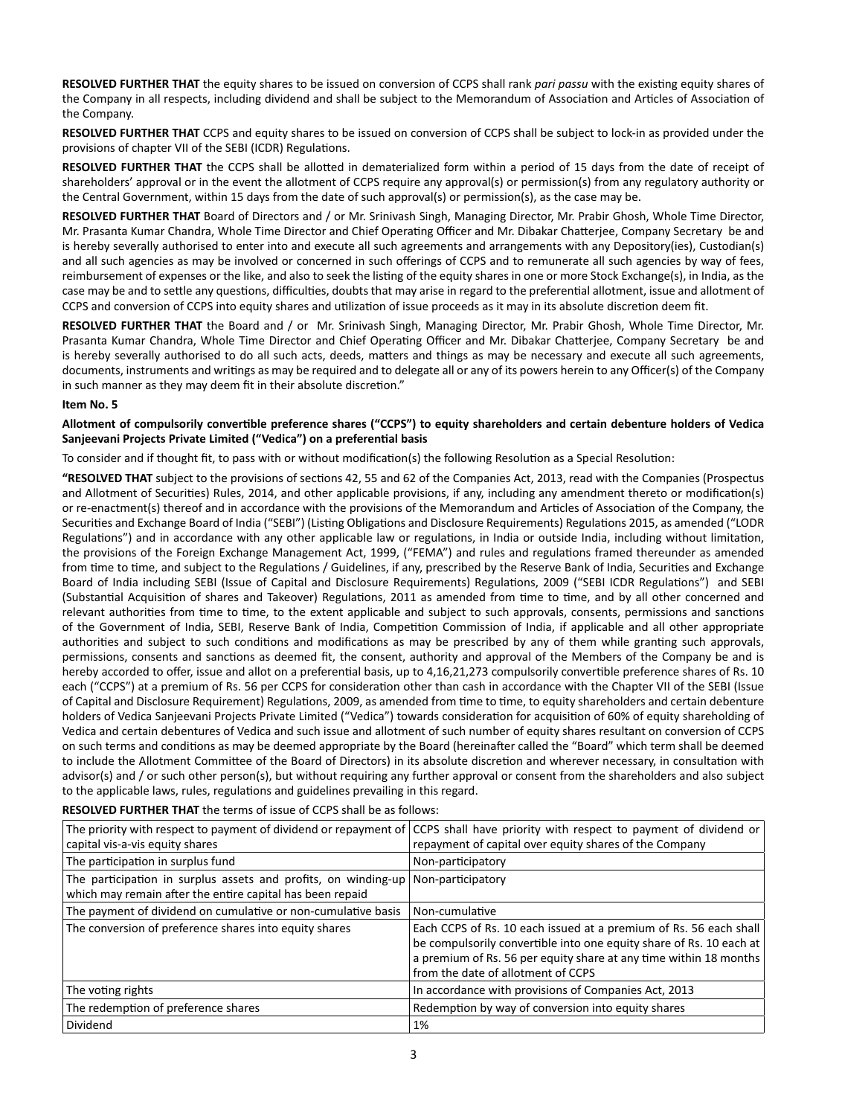RESOLVED FURTHER THAT the equity shares to be issued on conversion of CCPS shall rank *pari passu* with the existing equity shares of the Company in all respects, including dividend and shall be subject to the Memorandum of Association and Articles of Association of the Company.

**RESOLVED FURTHER THAT** CCPS and equity shares to be issued on conversion of CCPS shall be subject to lock-in as provided under the provisions of chapter VII of the SEBI (ICDR) Regulations.

RESOLVED FURTHER THAT the CCPS shall be allotted in dematerialized form within a period of 15 days from the date of receipt of shareholders' approval or in the event the allotment of CCPS require any approval(s) or permission(s) from any regulatory authority or the Central Government, within 15 days from the date of such approval(s) or permission(s), as the case may be.

**RESOLVED FURTHER THAT** Board of Directors and / or Mr. Srinivash Singh, Managing Director, Mr. Prabir Ghosh, Whole Time Director, Mr. Prasanta Kumar Chandra, Whole Time Director and Chief Operating Officer and Mr. Dibakar Chatterjee, Company Secretary be and is hereby severally authorised to enter into and execute all such agreements and arrangements with any Depository(ies), Custodian(s) and all such agencies as may be involved or concerned in such offerings of CCPS and to remunerate all such agencies by way of fees, reimbursement of expenses or the like, and also to seek the listing of the equity shares in one or more Stock Exchange(s), in India, as the case may be and to settle any questions, difficulties, doubts that may arise in regard to the preferential allotment, issue and allotment of CCPS and conversion of CCPS into equity shares and utilization of issue proceeds as it may in its absolute discretion deem fit.

**RESOLVED FURTHER THAT** the Board and / or Mr. Srinivash Singh, Managing Director, Mr. Prabir Ghosh, Whole Time Director, Mr. Prasanta Kumar Chandra, Whole Time Director and Chief Operating Officer and Mr. Dibakar Chatterjee, Company Secretary be and is hereby severally authorised to do all such acts, deeds, matters and things as may be necessary and execute all such agreements, documents, instruments and writings as may be required and to delegate all or any of its powers herein to any Officer(s) of the Company in such manner as they may deem fit in their absolute discretion."

## **Item No. 5**

#### Allotment of compulsorily convertible preference shares ("CCPS") to equity shareholders and certain debenture holders of Vedica **Sanjeevani Projects Private Limited ("Vedica") on a preferential basis**

To consider and if thought fit, to pass with or without modification(s) the following Resolution as a Special Resolution:

"RESOLVED THAT subject to the provisions of sections 42, 55 and 62 of the Companies Act, 2013, read with the Companies (Prospectus and Allotment of Securities) Rules, 2014, and other applicable provisions, if any, including any amendment thereto or modification(s) or re-enactment(s) thereof and in accordance with the provisions of the Memorandum and Articles of Association of the Company, the Securities and Exchange Board of India ("SEBI") (Listing Obligations and Disclosure Requirements) Regulations 2015, as amended ("LODR Regulations") and in accordance with any other applicable law or regulations, in India or outside India, including without limitation, the provisions of the Foreign Exchange Management Act, 1999, ("FEMA") and rules and regulations framed thereunder as amended from time to time, and subject to the Regulations / Guidelines, if any, prescribed by the Reserve Bank of India, Securities and Exchange Board of India including SEBI (Issue of Capital and Disclosure Requirements) Regulations, 2009 ("SEBI ICDR Regulations") and SEBI (Substantial Acquisition of shares and Takeover) Regulations, 2011 as amended from time to time, and by all other concerned and relevant authorities from time to time, to the extent applicable and subject to such approvals, consents, permissions and sanctions of the Government of India, SEBI, Reserve Bank of India, Competition Commission of India, if applicable and all other appropriate authorities and subject to such conditions and modifications as may be prescribed by any of them while granting such approvals, permissions, consents and sanctions as deemed fit, the consent, authority and approval of the Members of the Company be and is hereby accorded to offer, issue and allot on a preferential basis, up to 4,16,21,273 compulsorily convertible preference shares of Rs. 10 each ("CCPS") at a premium of Rs. 56 per CCPS for consideration other than cash in accordance with the Chapter VII of the SEBI (Issue of Capital and Disclosure Requirement) Regulations, 2009, as amended from time to time, to equity shareholders and certain debenture holders of Vedica Sanjeevani Projects Private Limited ("Vedica") towards consideration for acquisition of 60% of equity shareholding of Vedica and certain debentures of Vedica and such issue and allotment of such number of equity shares resultant on conversion of CCPS on such terms and conditions as may be deemed appropriate by the Board (hereinafter called the "Board" which term shall be deemed to include the Allotment Committee of the Board of Directors) in its absolute discretion and wherever necessary, in consultation with advisor(s) and / or such other person(s), but without requiring any further approval or consent from the shareholders and also subject to the applicable laws, rules, regulations and guidelines prevailing in this regard.

#### **RESOLVED FURTHER THAT** the terms of issue of CCPS shall be as follows:

| capital vis-a-vis equity shares                                                                                             | The priority with respect to payment of dividend or repayment of CCPS shall have priority with respect to payment of dividend or<br>repayment of capital over equity shares of the Company                                                          |
|-----------------------------------------------------------------------------------------------------------------------------|-----------------------------------------------------------------------------------------------------------------------------------------------------------------------------------------------------------------------------------------------------|
| The participation in surplus fund                                                                                           | Non-participatory                                                                                                                                                                                                                                   |
| The participation in surplus assets and profits, on winding-up<br>which may remain after the entire capital has been repaid | Non-participatory                                                                                                                                                                                                                                   |
| The payment of dividend on cumulative or non-cumulative basis                                                               | Non-cumulative                                                                                                                                                                                                                                      |
| The conversion of preference shares into equity shares                                                                      | Each CCPS of Rs. 10 each issued at a premium of Rs. 56 each shall<br>be compulsorily convertible into one equity share of Rs. 10 each at<br>a premium of Rs. 56 per equity share at any time within 18 months<br>from the date of allotment of CCPS |
| The voting rights                                                                                                           | In accordance with provisions of Companies Act, 2013                                                                                                                                                                                                |
| The redemption of preference shares                                                                                         | Redemption by way of conversion into equity shares                                                                                                                                                                                                  |
| Dividend                                                                                                                    | 1%                                                                                                                                                                                                                                                  |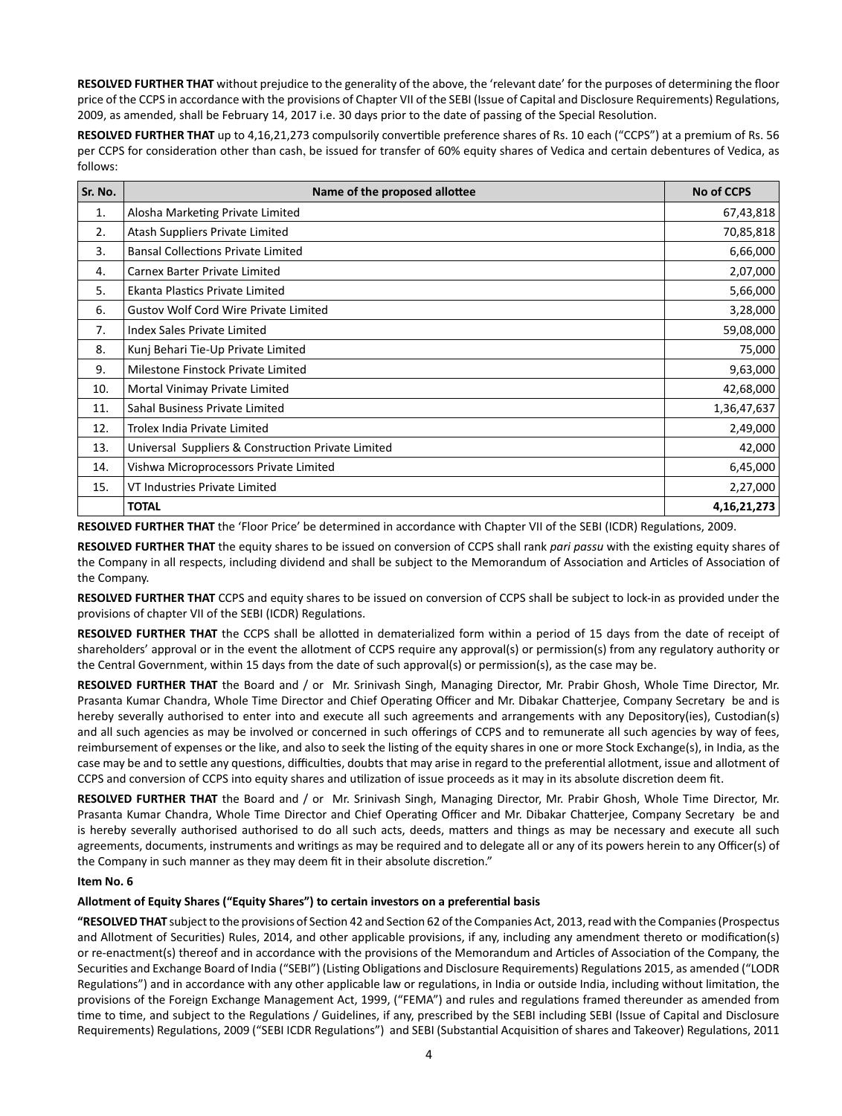RESOLVED FURTHER THAT without prejudice to the generality of the above, the 'relevant date' for the purposes of determining the floor price of the CCPS in accordance with the provisions of Chapter VII of the SEBI (Issue of Capital and Disclosure Requirements) Regulations, 2009, as amended, shall be February 14, 2017 i.e. 30 days prior to the date of passing of the Special Resolution.

RESOLVED FURTHER THAT up to 4,16,21,273 compulsorily convertible preference shares of Rs. 10 each ("CCPS") at a premium of Rs. 56 per CCPS for consideration other than cash, be issued for transfer of 60% equity shares of Vedica and certain debentures of Vedica, as follows:

| Sr. No. | Name of the proposed allottee                      | <b>No of CCPS</b> |
|---------|----------------------------------------------------|-------------------|
| 1.      | Alosha Marketing Private Limited                   | 67,43,818         |
| 2.      | Atash Suppliers Private Limited                    | 70,85,818         |
| 3.      | <b>Bansal Collections Private Limited</b>          | 6,66,000          |
| 4.      | Carnex Barter Private Limited                      | 2,07,000          |
| 5.      | Ekanta Plastics Private Limited                    | 5,66,000          |
| 6.      | <b>Gustov Wolf Cord Wire Private Limited</b>       | 3,28,000          |
| 7.      | Index Sales Private Limited                        | 59,08,000         |
| 8.      | Kunj Behari Tie-Up Private Limited                 | 75,000            |
| 9.      | Milestone Finstock Private Limited                 | 9,63,000          |
| 10.     | Mortal Vinimay Private Limited                     | 42,68,000         |
| 11.     | Sahal Business Private Limited                     | 1,36,47,637       |
| 12.     | Trolex India Private Limited                       | 2,49,000          |
| 13.     | Universal Suppliers & Construction Private Limited | 42,000            |
| 14.     | Vishwa Microprocessors Private Limited             | 6,45,000          |
| 15.     | VT Industries Private Limited                      | 2,27,000          |
|         | <b>TOTAL</b>                                       | 4,16,21,273       |

RESOLVED FURTHER THAT the 'Floor Price' be determined in accordance with Chapter VII of the SEBI (ICDR) Regulations, 2009.

RESOLVED FURTHER THAT the equity shares to be issued on conversion of CCPS shall rank *pari passu* with the existing equity shares of the Company in all respects, including dividend and shall be subject to the Memorandum of Association and Articles of Association of the Company.

**RESOLVED FURTHER THAT** CCPS and equity shares to be issued on conversion of CCPS shall be subject to lock-in as provided under the provisions of chapter VII of the SEBI (ICDR) Regulations.

RESOLVED FURTHER THAT the CCPS shall be allotted in dematerialized form within a period of 15 days from the date of receipt of shareholders' approval or in the event the allotment of CCPS require any approval(s) or permission(s) from any regulatory authority or the Central Government, within 15 days from the date of such approval(s) or permission(s), as the case may be.

**RESOLVED FURTHER THAT** the Board and / or Mr. Srinivash Singh, Managing Director, Mr. Prabir Ghosh, Whole Time Director, Mr. Prasanta Kumar Chandra, Whole Time Director and Chief Operating Officer and Mr. Dibakar Chatterjee, Company Secretary be and is hereby severally authorised to enter into and execute all such agreements and arrangements with any Depository(ies), Custodian(s) and all such agencies as may be involved or concerned in such offerings of CCPS and to remunerate all such agencies by way of fees, reimbursement of expenses or the like, and also to seek the listing of the equity shares in one or more Stock Exchange(s), in India, as the case may be and to settle any questions, difficulties, doubts that may arise in regard to the preferential allotment, issue and allotment of CCPS and conversion of CCPS into equity shares and utilization of issue proceeds as it may in its absolute discretion deem fit.

**RESOLVED FURTHER THAT** the Board and / or Mr. Srinivash Singh, Managing Director, Mr. Prabir Ghosh, Whole Time Director, Mr. Prasanta Kumar Chandra, Whole Time Director and Chief Operating Officer and Mr. Dibakar Chatterjee, Company Secretary be and is hereby severally authorised authorised to do all such acts, deeds, matters and things as may be necessary and execute all such agreements, documents, instruments and writings as may be required and to delegate all or any of its powers herein to any Officer(s) of the Company in such manner as they may deem fit in their absolute discretion."

## **Item No. 6**

## Allotment of Equity Shares ("Equity Shares") to certain investors on a preferential basis

"RESOLVED THAT subject to the provisions of Section 42 and Section 62 of the Companies Act, 2013, read with the Companies (Prospectus and Allotment of Securities) Rules, 2014, and other applicable provisions, if any, including any amendment thereto or modification(s) or re-enactment(s) thereof and in accordance with the provisions of the Memorandum and Articles of Association of the Company, the Securities and Exchange Board of India ("SEBI") (Listing Obligations and Disclosure Requirements) Regulations 2015, as amended ("LODR Regulations") and in accordance with any other applicable law or regulations, in India or outside India, including without limitation, the provisions of the Foreign Exchange Management Act, 1999, ("FEMA") and rules and regulations framed thereunder as amended from time to time, and subject to the Regulations / Guidelines, if any, prescribed by the SEBI including SEBI (Issue of Capital and Disclosure Requirements) Regulations, 2009 ("SEBI ICDR Regulations") and SEBI (Substantial Acquisition of shares and Takeover) Regulations, 2011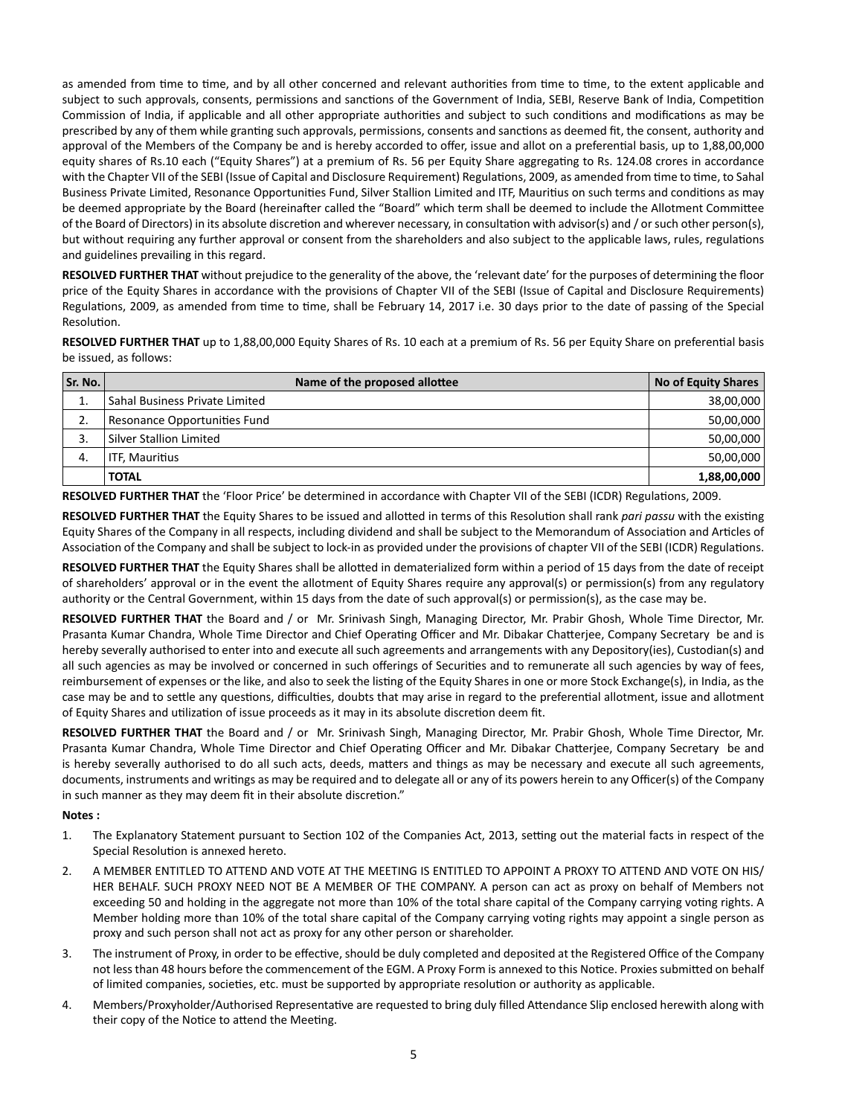as amended from time to time, and by all other concerned and relevant authorities from time to time, to the extent applicable and subject to such approvals, consents, permissions and sanctions of the Government of India, SEBI, Reserve Bank of India, Competition Commission of India, if applicable and all other appropriate authorities and subject to such conditions and modifications as may be prescribed by any of them while granting such approvals, permissions, consents and sanctions as deemed fit, the consent, authority and approval of the Members of the Company be and is hereby accorded to offer, issue and allot on a preferential basis, up to 1,88,00,000 equity shares of Rs.10 each ("Equity Shares") at a premium of Rs. 56 per Equity Share aggregating to Rs. 124.08 crores in accordance with the Chapter VII of the SEBI (Issue of Capital and Disclosure Requirement) Regulations, 2009, as amended from time to time, to Sahal Business Private Limited, Resonance Opportunities Fund, Silver Stallion Limited and ITF, Mauritius on such terms and conditions as may be deemed appropriate by the Board (hereinafter called the "Board" which term shall be deemed to include the Allotment Committee of the Board of Directors) in its absolute discretion and wherever necessary, in consultation with advisor(s) and / or such other person(s), but without requiring any further approval or consent from the shareholders and also subject to the applicable laws, rules, regulations and guidelines prevailing in this regard.

RESOLVED FURTHER THAT without prejudice to the generality of the above, the 'relevant date' for the purposes of determining the floor price of the Equity Shares in accordance with the provisions of Chapter VII of the SEBI (Issue of Capital and Disclosure Requirements) Regulations, 2009, as amended from time to time, shall be February 14, 2017 i.e. 30 days prior to the date of passing of the Special Resolution.

**RESOLVED FURTHER THAT** up to 1,88,00,000 Equity Shares of Rs. 10 each at a premium of Rs. 56 per Equity Share on preferential basis be issued, as follows:

| Sr. No. | Name of the proposed allottee  | <b>No of Equity Shares</b> |
|---------|--------------------------------|----------------------------|
|         | Sahal Business Private Limited | 38,00,000                  |
| 2.      | Resonance Opportunities Fund   | 50,00,000                  |
| 3.      | Silver Stallion Limited        | 50,00,000                  |
| 4.      | ITF, Mauritius                 | 50,00,000                  |
|         | <b>TOTAL</b>                   | 1,88,00,000                |

RESOLVED FURTHER THAT the 'Floor Price' be determined in accordance with Chapter VII of the SEBI (ICDR) Regulations, 2009.

RESOLVED FURTHER THAT the Equity Shares to be issued and allotted in terms of this Resolution shall rank *pari passu* with the existing Equity Shares of the Company in all respects, including dividend and shall be subject to the Memorandum of Association and Articles of Association of the Company and shall be subject to lock-in as provided under the provisions of chapter VII of the SEBI (ICDR) Regulations.

RESOLVED FURTHER THAT the Equity Shares shall be allotted in dematerialized form within a period of 15 days from the date of receipt of shareholders' approval or in the event the allotment of Equity Shares require any approval(s) or permission(s) from any regulatory authority or the Central Government, within 15 days from the date of such approval(s) or permission(s), as the case may be.

**RESOLVED FURTHER THAT** the Board and / or Mr. Srinivash Singh, Managing Director, Mr. Prabir Ghosh, Whole Time Director, Mr. Prasanta Kumar Chandra, Whole Time Director and Chief Operating Officer and Mr. Dibakar Chatterjee, Company Secretary be and is hereby severally authorised to enter into and execute all such agreements and arrangements with any Depository(ies), Custodian(s) and all such agencies as may be involved or concerned in such offerings of Securities and to remunerate all such agencies by way of fees, reimbursement of expenses or the like, and also to seek the listing of the Equity Shares in one or more Stock Exchange(s), in India, as the case may be and to settle any questions, difficulties, doubts that may arise in regard to the preferential allotment, issue and allotment of Equity Shares and utilization of issue proceeds as it may in its absolute discretion deem fit.

**RESOLVED FURTHER THAT** the Board and / or Mr. Srinivash Singh, Managing Director, Mr. Prabir Ghosh, Whole Time Director, Mr. Prasanta Kumar Chandra, Whole Time Director and Chief Operating Officer and Mr. Dibakar Chatterjee, Company Secretary be and is hereby severally authorised to do all such acts, deeds, matters and things as may be necessary and execute all such agreements, documents, instruments and writings as may be required and to delegate all or any of its powers herein to any Officer(s) of the Company in such manner as they may deem fit in their absolute discretion."

**Notes :**

- 1. The Explanatory Statement pursuant to Section 102 of the Companies Act, 2013, setting out the material facts in respect of the Special Resolution is annexed hereto.
- 2. A MEMBER ENTITLED TO ATTEND AND VOTE AT THE MEETING IS ENTITLED TO APPOINT A PROXY TO ATTEND AND VOTE ON HIS/ HER BEHALF. SUCH PROXY NEED NOT BE A MEMBER OF THE COMPANY. A person can act as proxy on behalf of Members not exceeding 50 and holding in the aggregate not more than 10% of the total share capital of the Company carrying voting rights. A Member holding more than 10% of the total share capital of the Company carrying voting rights may appoint a single person as proxy and such person shall not act as proxy for any other person or shareholder.
- 3. The instrument of Proxy, in order to be effective, should be duly completed and deposited at the Registered Office of the Company not less than 48 hours before the commencement of the EGM. A Proxy Form is annexed to this Notice. Proxies submitted on behalf of limited companies, societies, etc. must be supported by appropriate resolution or authority as applicable.
- 4. Members/Proxyholder/Authorised Representative are requested to bring duly filled Attendance Slip enclosed herewith along with their copy of the Notice to attend the Meeting.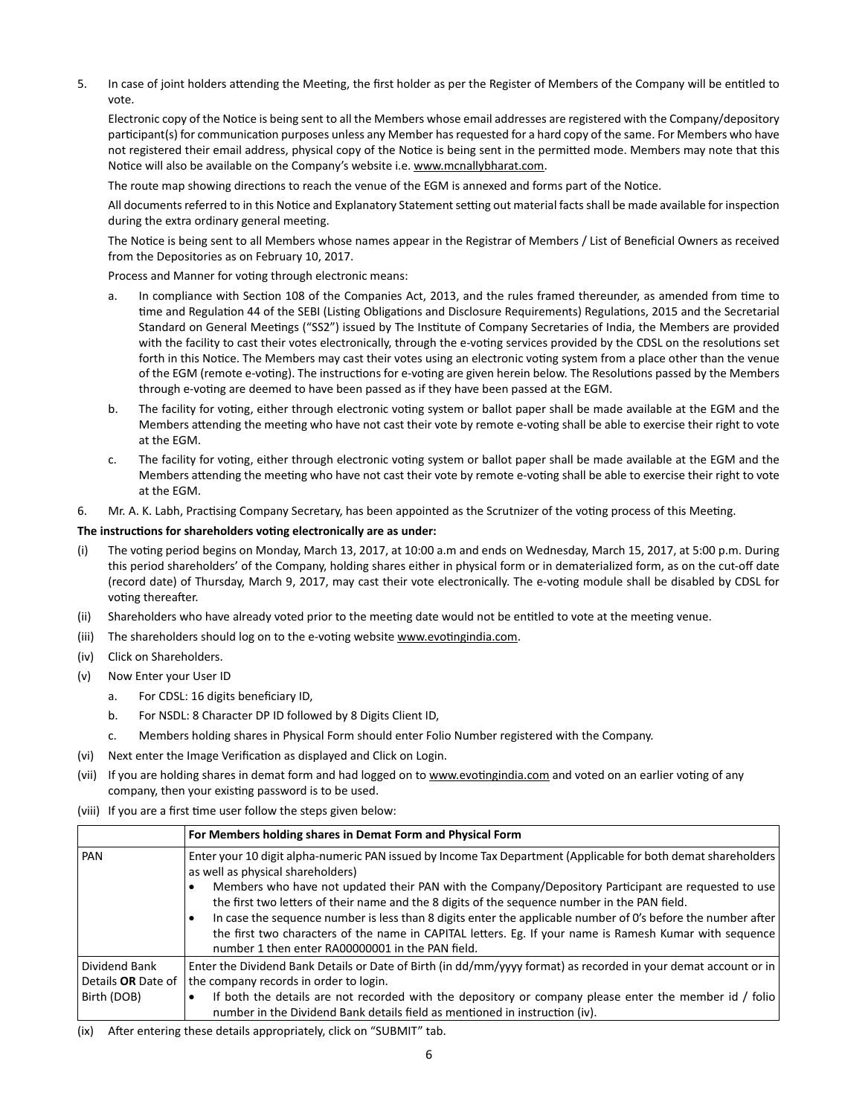5. In case of joint holders attending the Meeting, the first holder as per the Register of Members of the Company will be entitled to vote.

Electronic copy of the Notice is being sent to all the Members whose email addresses are registered with the Company/depository participant(s) for communication purposes unless any Member has requested for a hard copy of the same. For Members who have not registered their email address, physical copy of the Notice is being sent in the permitted mode. Members may note that this Notice will also be available on the Company's website i.e. www.mcnallybharat.com.

The route map showing directions to reach the venue of the EGM is annexed and forms part of the Notice.

All documents referred to in this Notice and Explanatory Statement setting out material facts shall be made available for inspection during the extra ordinary general meeting.

The Notice is being sent to all Members whose names appear in the Registrar of Members / List of Beneficial Owners as received from the Depositories as on February 10, 2017.

Process and Manner for voting through electronic means:

- a. In compliance with Section 108 of the Companies Act, 2013, and the rules framed thereunder, as amended from time to time and Regulation 44 of the SEBI (Listing Obligations and Disclosure Requirements) Regulations, 2015 and the Secretarial Standard on General Meetings ("SS2") issued by The Institute of Company Secretaries of India, the Members are provided with the facility to cast their votes electronically, through the e-voting services provided by the CDSL on the resolutions set forth in this Notice. The Members may cast their votes using an electronic voting system from a place other than the venue of the EGM (remote e-voting). The instructions for e-voting are given herein below. The Resolutions passed by the Members through e-voting are deemed to have been passed as if they have been passed at the EGM.
- b. The facility for voting, either through electronic voting system or ballot paper shall be made available at the EGM and the Members attending the meeting who have not cast their vote by remote e-voting shall be able to exercise their right to vote at the EGM.
- c. The facility for voting, either through electronic voting system or ballot paper shall be made available at the EGM and the Members attending the meeting who have not cast their vote by remote e-voting shall be able to exercise their right to vote at the EGM.
- 6. Mr. A. K. Labh, Practising Company Secretary, has been appointed as the Scrutnizer of the voting process of this Meeting.

#### **The instrucƟ ons for shareholders voƟ ng electronically are as under:**

- (i) The voting period begins on Monday, March 13, 2017, at 10:00 a.m and ends on Wednesday, March 15, 2017, at 5:00 p.m. During this period shareholders' of the Company, holding shares either in physical form or in dematerialized form, as on the cut-off date (record date) of Thursday, March 9, 2017, may cast their vote electronically. The e-voting module shall be disabled by CDSL for voting thereafter.
- (ii) Shareholders who have already voted prior to the meeting date would not be entitled to vote at the meeting venue.
- (iii) The shareholders should log on to the e-voting website www.evotingindia.com.
- (iv) Click on Shareholders.
- (v) Now Enter your User ID
	- a. For CDSL: 16 digits beneficiary ID,
	- b. For NSDL: 8 Character DP ID followed by 8 Digits Client ID,
	- Members holding shares in Physical Form should enter Folio Number registered with the Company.
- (vi) Next enter the Image Verification as displayed and Click on Login.
- (vii) If you are holding shares in demat form and had logged on to www.evotingindia.com and voted on an earlier voting of any company, then your existing password is to be used.
- (viii) If you are a first time user follow the steps given below:

|                           | For Members holding shares in Demat Form and Physical Form                                                                                                                                                                                                                                                                                                                                                                                                                            |
|---------------------------|---------------------------------------------------------------------------------------------------------------------------------------------------------------------------------------------------------------------------------------------------------------------------------------------------------------------------------------------------------------------------------------------------------------------------------------------------------------------------------------|
| PAN                       | Enter your 10 digit alpha-numeric PAN issued by Income Tax Department (Applicable for both demat shareholders<br>as well as physical shareholders)                                                                                                                                                                                                                                                                                                                                    |
|                           | Members who have not updated their PAN with the Company/Depository Participant are requested to use<br>the first two letters of their name and the 8 digits of the sequence number in the PAN field.<br>In case the sequence number is less than 8 digits enter the applicable number of 0's before the number after<br>the first two characters of the name in CAPITAL letters. Eg. If your name is Ramesh Kumar with sequence  <br>number 1 then enter RA00000001 in the PAN field. |
| Dividend Bank             | Enter the Dividend Bank Details or Date of Birth (in dd/mm/yyyy format) as recorded in your demat account or in                                                                                                                                                                                                                                                                                                                                                                       |
| Details <b>OR</b> Date of | the company records in order to login.                                                                                                                                                                                                                                                                                                                                                                                                                                                |
| Birth (DOB)               | If both the details are not recorded with the depository or company please enter the member id / folio<br>number in the Dividend Bank details field as mentioned in instruction (iv).                                                                                                                                                                                                                                                                                                 |

(ix) After entering these details appropriately, click on "SUBMIT" tab.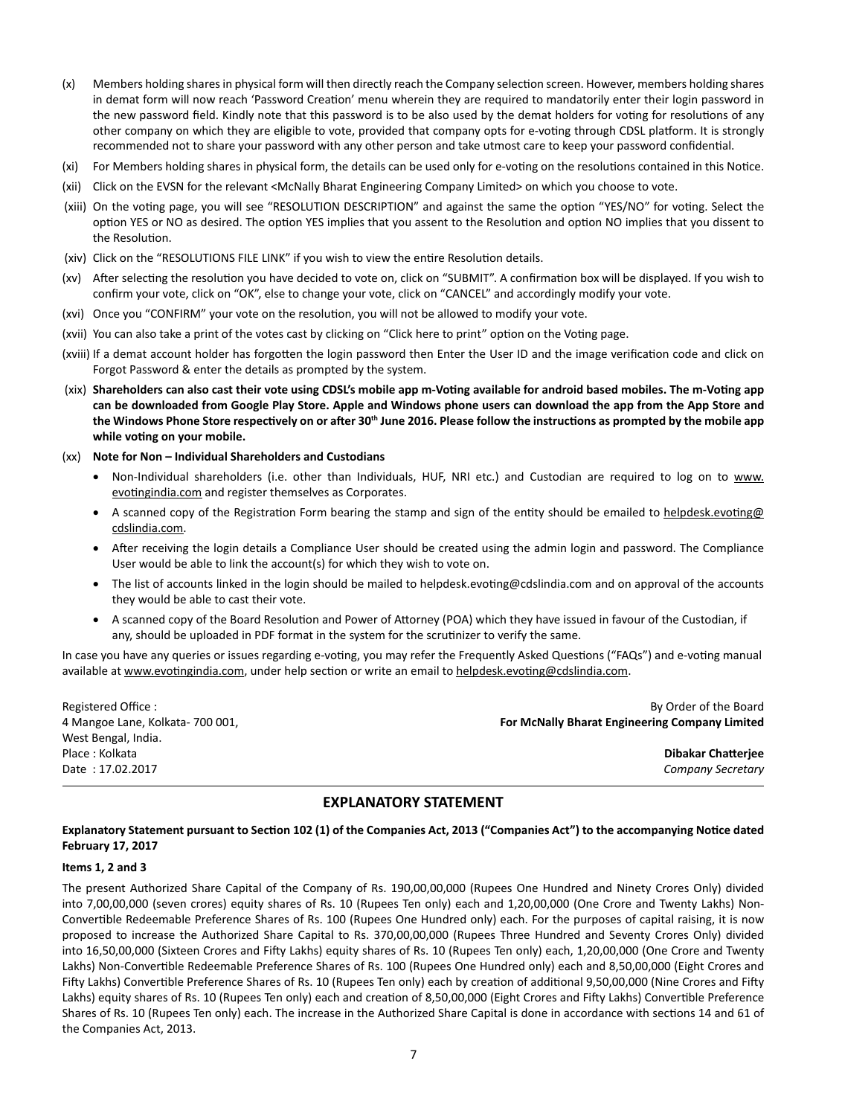- (x) Members holding shares in physical form will then directly reach the Company selection screen. However, members holding shares in demat form will now reach 'Password Creation' menu wherein they are required to mandatorily enter their login password in the new password field. Kindly note that this password is to be also used by the demat holders for voting for resolutions of any other company on which they are eligible to vote, provided that company opts for e-voting through CDSL platform. It is strongly recommended not to share your password with any other person and take utmost care to keep your password confidential.
- (xi) For Members holding shares in physical form, the details can be used only for e-voting on the resolutions contained in this Notice.
- (xii) Click on the EVSN for the relevant <McNally Bharat Engineering Company Limited> on which you choose to vote.
- (xiii) On the voting page, you will see "RESOLUTION DESCRIPTION" and against the same the option "YES/NO" for voting. Select the option YES or NO as desired. The option YES implies that you assent to the Resolution and option NO implies that you dissent to the Resolution.
- (xiv) Click on the "RESOLUTIONS FILE LINK" if you wish to view the entire Resolution details.
- (xv) After selecting the resolution you have decided to vote on, click on "SUBMIT". A confirmation box will be displayed. If you wish to confirm your vote, click on "OK", else to change your vote, click on "CANCEL" and accordingly modify your vote.
- (xvi) Once you "CONFIRM" your vote on the resolution, you will not be allowed to modify your vote.
- (xvii) You can also take a print of the votes cast by clicking on "Click here to print" option on the Voting page.
- (xviii) If a demat account holder has forgotten the login password then Enter the User ID and the image verification code and click on Forgot Password & enter the details as prompted by the system.
- (xix) Shareholders can also cast their vote using CDSL's mobile app m-Voting available for android based mobiles. The m-Voting app **can be downloaded from Google Play Store. Apple and Windows phone users can download the app from the App Store and**  the Windows Phone Store respectively on or after 30<sup>th</sup> June 2016. Please follow the instructions as prompted by the mobile app **while voƟ ng on your mobile.**
- (xx) **Note for Non Individual Shareholders and Custodians**
	- Non-Individual shareholders (i.e. other than Individuals, HUF, NRI etc.) and Custodian are required to log on to www. evotingindia.com and register themselves as Corporates.
	- A scanned copy of the Registration Form bearing the stamp and sign of the entity should be emailed to helpdesk.evoting@ cdslindia.com.
	- After receiving the login details a Compliance User should be created using the admin login and password. The Compliance User would be able to link the account(s) for which they wish to vote on.
	- The list of accounts linked in the login should be mailed to helpdesk.evoting@cdslindia.com and on approval of the accounts they would be able to cast their vote.
	- A scanned copy of the Board Resolution and Power of Attorney (POA) which they have issued in favour of the Custodian, if any, should be uploaded in PDF format in the system for the scrutinizer to verify the same.

In case you have any queries or issues regarding e-voting, you may refer the Frequently Asked Questions ("FAQs") and e-voting manual available at www.evotingindia.com, under help section or write an email to helpdesk.evoting@cdslindia.com.

West Bengal, India. Place : Kolkata **Dibakar ChaƩerjee** Date : 17.02.2017 *Company Secretary*

Registered Office : By Order of the Board Changes in the Board Changes in the Board Changes in the Board Changes in the Board Changes in the Board Changes in the Board Changes in the Board Changes in the Board Changes in t 4 Mangoe Lane, Kolkata- 700 001, **For McNally Bharat Engineering Company Limited**

# **EXPLANATORY STATEMENT**

## Explanatory Statement pursuant to Section 102 (1) of the Companies Act, 2013 ("Companies Act") to the accompanying Notice dated **February 17, 2017**

#### **Items 1, 2 and 3**

The present Authorized Share Capital of the Company of Rs. 190,00,00,000 (Rupees One Hundred and Ninety Crores Only) divided into 7,00,00,000 (seven crores) equity shares of Rs. 10 (Rupees Ten only) each and 1,20,00,000 (One Crore and Twenty Lakhs) Non-Convertible Redeemable Preference Shares of Rs. 100 (Rupees One Hundred only) each. For the purposes of capital raising, it is now proposed to increase the Authorized Share Capital to Rs. 370,00,00,000 (Rupees Three Hundred and Seventy Crores Only) divided into 16,50,00,000 (Sixteen Crores and Fifty Lakhs) equity shares of Rs. 10 (Rupees Ten only) each, 1,20,00,000 (One Crore and Twenty Lakhs) Non-Convertible Redeemable Preference Shares of Rs. 100 (Rupees One Hundred only) each and 8,50,00,000 (Eight Crores and Fifty Lakhs) Convertible Preference Shares of Rs. 10 (Rupees Ten only) each by creation of additional 9,50,00,000 (Nine Crores and Fifty Lakhs) equity shares of Rs. 10 (Rupees Ten only) each and creation of 8,50,00,000 (Eight Crores and Fifty Lakhs) Convertible Preference Shares of Rs. 10 (Rupees Ten only) each. The increase in the Authorized Share Capital is done in accordance with sections 14 and 61 of the Companies Act, 2013.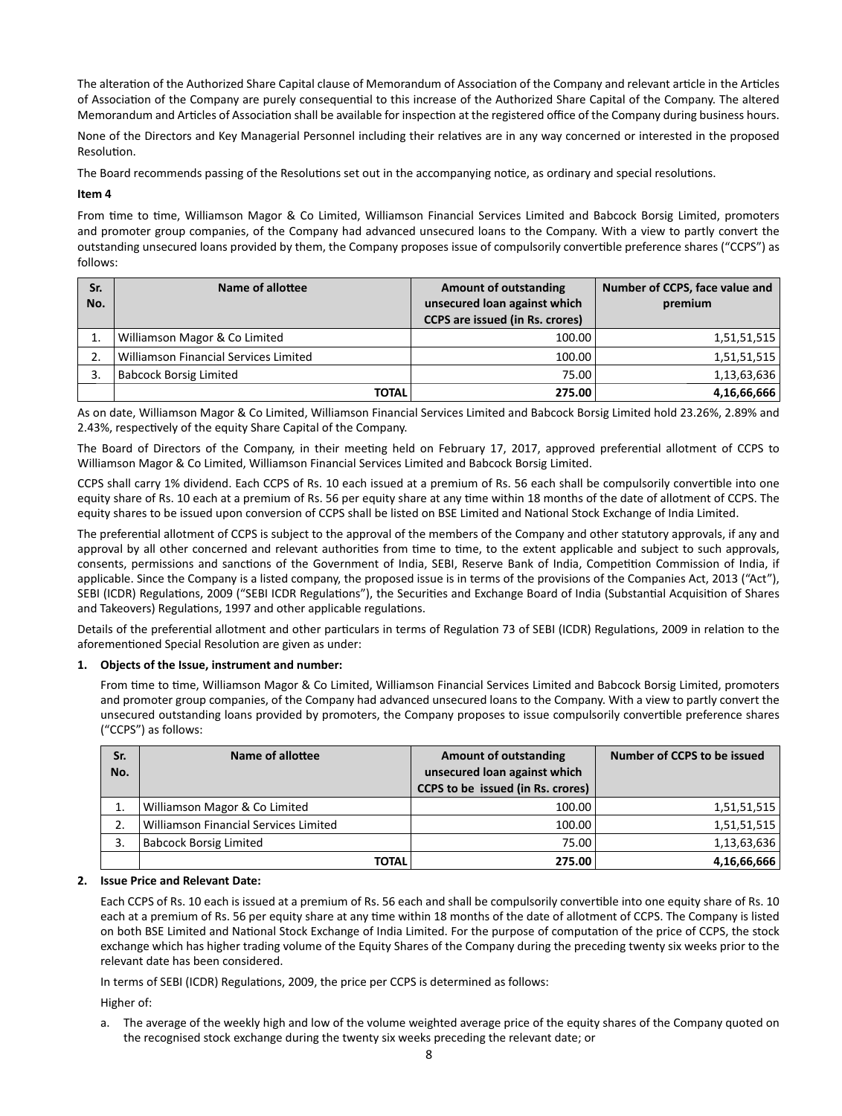The alteration of the Authorized Share Capital clause of Memorandum of Association of the Company and relevant article in the Articles of Association of the Company are purely consequential to this increase of the Authorized Share Capital of the Company. The altered Memorandum and Articles of Association shall be available for inspection at the registered office of the Company during business hours.

None of the Directors and Key Managerial Personnel including their relatives are in any way concerned or interested in the proposed Resolution.

The Board recommends passing of the Resolutions set out in the accompanying notice, as ordinary and special resolutions.

#### **Item 4**

From time to time, Williamson Magor & Co Limited, Williamson Financial Services Limited and Babcock Borsig Limited, promoters and promoter group companies, of the Company had advanced unsecured loans to the Company. With a view to partly convert the outstanding unsecured loans provided by them, the Company proposes issue of compulsorily convertible preference shares ("CCPS") as follows:

| Sr. | Name of allottee                      | <b>Amount of outstanding</b>           | Number of CCPS, face value and |  |
|-----|---------------------------------------|----------------------------------------|--------------------------------|--|
| No. |                                       | unsecured loan against which           | premium                        |  |
|     |                                       | <b>CCPS</b> are issued (in Rs. crores) |                                |  |
|     | Williamson Magor & Co Limited         | 100.00                                 | 1,51,51,515                    |  |
|     | Williamson Financial Services Limited | 100.00                                 | 1,51,51,515                    |  |
|     | <b>Babcock Borsig Limited</b>         | 75.00                                  | 1,13,63,636                    |  |
|     | <b>TOTAL</b>                          | 275.00                                 | 4,16,66,666                    |  |

As on date, Williamson Magor & Co Limited, Williamson Financial Services Limited and Babcock Borsig Limited hold 23.26%, 2.89% and 2.43%, respectively of the equity Share Capital of the Company.

The Board of Directors of the Company, in their meeting held on February 17, 2017, approved preferential allotment of CCPS to Williamson Magor & Co Limited, Williamson Financial Services Limited and Babcock Borsig Limited.

CCPS shall carry 1% dividend. Each CCPS of Rs. 10 each issued at a premium of Rs. 56 each shall be compulsorily convertible into one equity share of Rs. 10 each at a premium of Rs. 56 per equity share at any time within 18 months of the date of allotment of CCPS. The equity shares to be issued upon conversion of CCPS shall be listed on BSE Limited and National Stock Exchange of India Limited.

The preferential allotment of CCPS is subject to the approval of the members of the Company and other statutory approvals, if any and approval by all other concerned and relevant authorities from time to time, to the extent applicable and subject to such approvals, consents, permissions and sanctions of the Government of India, SEBI, Reserve Bank of India, Competition Commission of India, if applicable. Since the Company is a listed company, the proposed issue is in terms of the provisions of the Companies Act, 2013 ("Act"), SEBI (ICDR) Regulations, 2009 ("SEBI ICDR Regulations"), the Securities and Exchange Board of India (Substantial Acquisition of Shares and Takeovers) Regulations, 1997 and other applicable regulations.

Details of the preferential allotment and other particulars in terms of Regulation 73 of SEBI (ICDR) Regulations, 2009 in relation to the aforementioned Special Resolution are given as under:

#### **1. Objects of the Issue, instrument and number:**

From time to time, Williamson Magor & Co Limited, Williamson Financial Services Limited and Babcock Borsig Limited, promoters and promoter group companies, of the Company had advanced unsecured loans to the Company. With a view to partly convert the unsecured outstanding loans provided by promoters, the Company proposes to issue compulsorily convertible preference shares ("CCPS") as follows:

| Sr.<br>No. | Name of allottee                      | <b>Amount of outstanding</b><br>unsecured loan against which<br>CCPS to be issued (in Rs. crores) | Number of CCPS to be issued |
|------------|---------------------------------------|---------------------------------------------------------------------------------------------------|-----------------------------|
|            | Williamson Magor & Co Limited         | 100.00                                                                                            | 1,51,51,515                 |
|            | Williamson Financial Services Limited | 100.00                                                                                            | 1,51,51,515                 |
| 3.         | <b>Babcock Borsig Limited</b>         | 75.00                                                                                             | 1,13,63,636                 |
|            | <b>TOTAL</b>                          | 275.00                                                                                            | 4,16,66,666                 |

## **2. Issue Price and Relevant Date:**

Each CCPS of Rs. 10 each is issued at a premium of Rs. 56 each and shall be compulsorily convertible into one equity share of Rs. 10 each at a premium of Rs. 56 per equity share at any time within 18 months of the date of allotment of CCPS. The Company is listed on both BSE Limited and National Stock Exchange of India Limited. For the purpose of computation of the price of CCPS, the stock exchange which has higher trading volume of the Equity Shares of the Company during the preceding twenty six weeks prior to the relevant date has been considered.

In terms of SEBI (ICDR) Regulations, 2009, the price per CCPS is determined as follows:

Higher of:

 a. The average of the weekly high and low of the volume weighted average price of the equity shares of the Company quoted on the recognised stock exchange during the twenty six weeks preceding the relevant date; or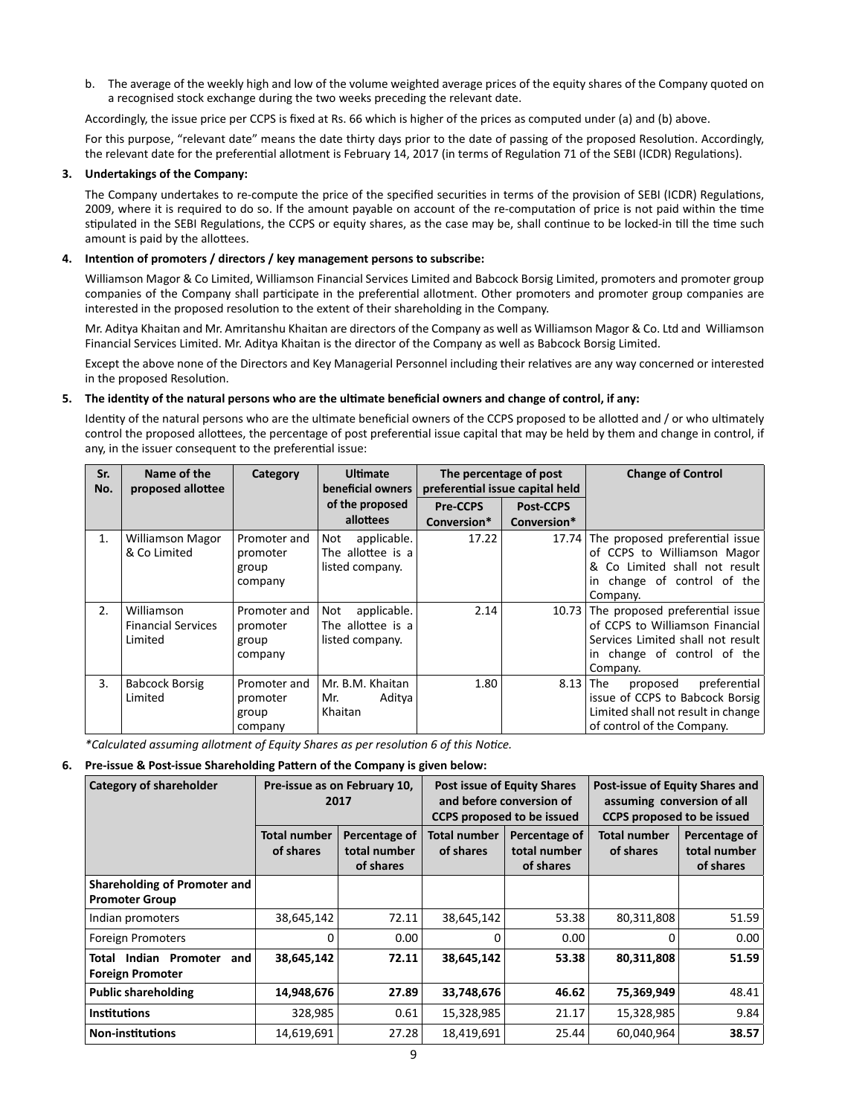b. The average of the weekly high and low of the volume weighted average prices of the equity shares of the Company quoted on a recognised stock exchange during the two weeks preceding the relevant date.

Accordingly, the issue price per CCPS is fixed at Rs. 66 which is higher of the prices as computed under (a) and (b) above.

For this purpose, "relevant date" means the date thirty days prior to the date of passing of the proposed Resolution. Accordingly, the relevant date for the preferential allotment is February 14, 2017 (in terms of Regulation 71 of the SEBI (ICDR) Regulations).

## **3. Undertakings of the Company:**

The Company undertakes to re-compute the price of the specified securities in terms of the provision of SEBI (ICDR) Regulations, 2009, where it is required to do so. If the amount payable on account of the re-computation of price is not paid within the time stipulated in the SEBI Regulations, the CCPS or equity shares, as the case may be, shall continue to be locked-in till the time such amount is paid by the allottees.

## **4. IntenƟ on of promoters / directors / key management persons to subscribe:**

Williamson Magor & Co Limited, Williamson Financial Services Limited and Babcock Borsig Limited, promoters and promoter group companies of the Company shall participate in the preferential allotment. Other promoters and promoter group companies are interested in the proposed resolution to the extent of their shareholding in the Company.

 Mr. Aditya Khaitan and Mr. Amritanshu Khaitan are directors of the Company as well as Williamson Magor & Co. Ltd and Williamson Financial Services Limited. Mr. Aditya Khaitan is the director of the Company as well as Babcock Borsig Limited.

Except the above none of the Directors and Key Managerial Personnel including their relatives are any way concerned or interested in the proposed Resolution.

#### **5. The idenƟ ty of the natural persons who are the ulƟ mate benefi cial owners and change of control, if any:**

Identity of the natural persons who are the ultimate beneficial owners of the CCPS proposed to be allotted and / or who ultimately control the proposed allottees, the percentage of post preferential issue capital that may be held by them and change in control, if any, in the issuer consequent to the preferential issue:

| Sr.<br>No. | Name of the<br>proposed allottee                   | Category                                     | <b>Ultimate</b><br>beneficial owners                       | The percentage of post<br>preferential issue capital held |             | <b>Change of Control</b>                                                                                                                                 |
|------------|----------------------------------------------------|----------------------------------------------|------------------------------------------------------------|-----------------------------------------------------------|-------------|----------------------------------------------------------------------------------------------------------------------------------------------------------|
|            |                                                    |                                              | of the proposed                                            | <b>Pre-CCPS</b>                                           | Post-CCPS   |                                                                                                                                                          |
|            |                                                    |                                              | allottees                                                  | Conversion*                                               | Conversion* |                                                                                                                                                          |
| 1.         | <b>Williamson Magor</b><br>& Co Limited            | Promoter and<br>promoter<br>group<br>company | applicable.<br>Not<br>The allottee is a<br>listed company. | 17.22                                                     | 17.74       | The proposed preferential issue<br>of CCPS to Williamson Magor<br>& Co Limited shall not result<br>in change of control of the<br>Company.               |
| 2.         | Williamson<br><b>Financial Services</b><br>Limited | Promoter and<br>promoter<br>group<br>company | applicable.<br>Not<br>The allottee is a<br>listed company. | 2.14                                                      |             | 10.73 The proposed preferential issue<br>of CCPS to Williamson Financial<br>Services Limited shall not result<br>in change of control of the<br>Company. |
| 3.         | <b>Babcock Borsig</b><br>Limited                   | Promoter and<br>promoter<br>group<br>company | Mr. B.M. Khaitan<br>Aditya<br>Mr.<br>Khaitan               | 1.80                                                      | 8.13        | preferential<br><b>The</b><br>proposed<br>issue of CCPS to Babcock Borsig<br>Limited shall not result in change<br>of control of the Company.            |

*\*Calculated assuming allotment of Equity Shares as per resoluƟ on 6 of this NoƟ ce.*

**6.** Pre-issue & Post-issue Shareholding Pattern of the Company is given below:

| <b>Category of shareholder</b>                          | Pre-issue as on February 10,<br>2017 |                                            | <b>Post issue of Equity Shares</b><br>and before conversion of<br><b>CCPS</b> proposed to be issued |                                            | Post-issue of Equity Shares and<br>assuming conversion of all<br><b>CCPS</b> proposed to be issued |                                            |
|---------------------------------------------------------|--------------------------------------|--------------------------------------------|-----------------------------------------------------------------------------------------------------|--------------------------------------------|----------------------------------------------------------------------------------------------------|--------------------------------------------|
|                                                         | <b>Total number</b><br>of shares     | Percentage of<br>total number<br>of shares | <b>Total number</b><br>of shares                                                                    | Percentage of<br>total number<br>of shares | <b>Total number</b><br>of shares                                                                   | Percentage of<br>total number<br>of shares |
| Shareholding of Promoter and<br><b>Promoter Group</b>   |                                      |                                            |                                                                                                     |                                            |                                                                                                    |                                            |
| Indian promoters                                        | 38,645,142                           | 72.11                                      | 38,645,142                                                                                          | 53.38                                      | 80,311,808                                                                                         | 51.59                                      |
| <b>Foreign Promoters</b>                                |                                      | 0.00                                       | 0                                                                                                   | 0.00                                       | 0                                                                                                  | 0.00                                       |
| Total Indian Promoter<br>and<br><b>Foreign Promoter</b> | 38,645,142                           | 72.11                                      | 38,645,142                                                                                          | 53.38                                      | 80,311,808                                                                                         | 51.59                                      |
| <b>Public shareholding</b>                              | 14,948,676                           | 27.89                                      | 33,748,676                                                                                          | 46.62                                      | 75,369,949                                                                                         | 48.41                                      |
| <b>Institutions</b>                                     | 328,985                              | 0.61                                       | 15,328,985                                                                                          | 21.17                                      | 15,328,985                                                                                         | 9.84                                       |
| <b>Non-institutions</b>                                 | 14,619,691                           | 27.28                                      | 18,419,691                                                                                          | 25.44                                      | 60,040,964                                                                                         | 38.57                                      |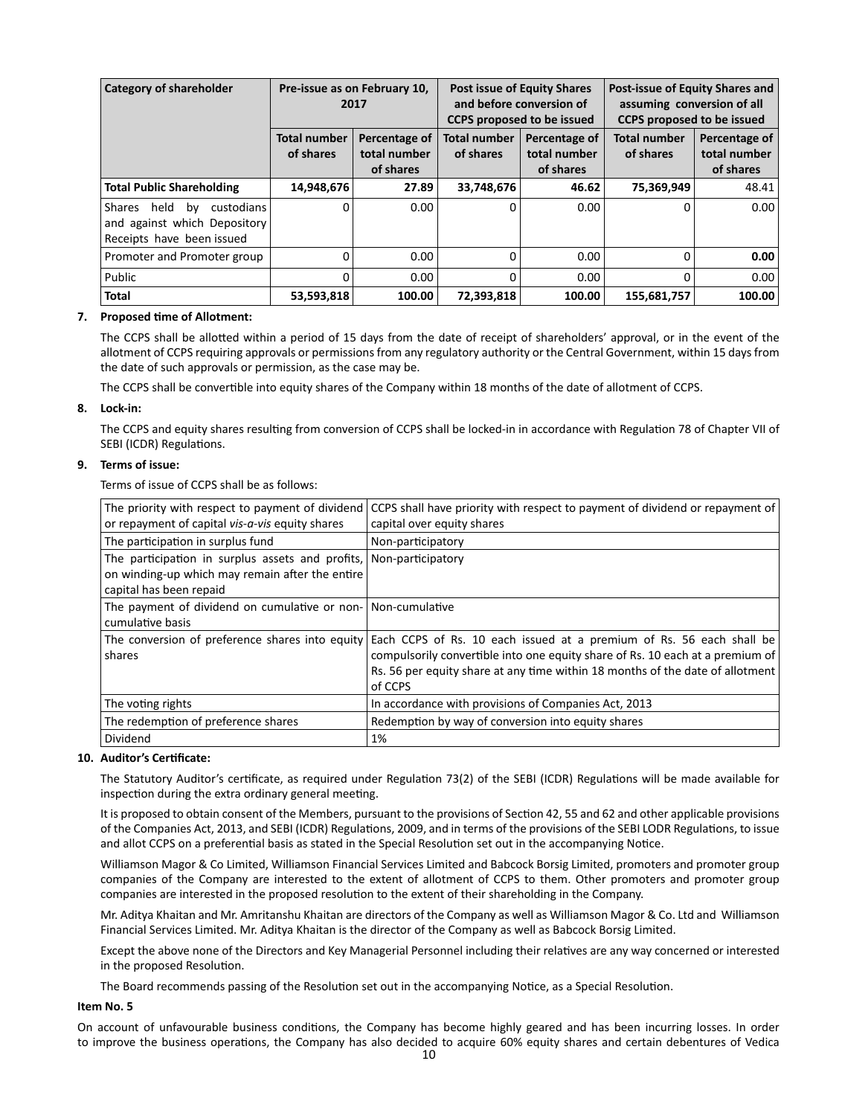| <b>Category of shareholder</b>                                                                  | Pre-issue as on February 10,<br>2017 |                                            |                                  | <b>Post issue of Equity Shares</b><br>and before conversion of<br><b>CCPS</b> proposed to be issued | Post-issue of Equity Shares and<br>assuming conversion of all<br><b>CCPS</b> proposed to be issued |                                            |
|-------------------------------------------------------------------------------------------------|--------------------------------------|--------------------------------------------|----------------------------------|-----------------------------------------------------------------------------------------------------|----------------------------------------------------------------------------------------------------|--------------------------------------------|
|                                                                                                 | <b>Total number</b><br>of shares     | Percentage of<br>total number<br>of shares | <b>Total number</b><br>of shares | Percentage of<br>total number<br>of shares                                                          | <b>Total number</b><br>of shares                                                                   | Percentage of<br>total number<br>of shares |
| <b>Total Public Shareholding</b>                                                                | 14,948,676                           | 27.89                                      | 33,748,676                       | 46.62                                                                                               | 75,369,949                                                                                         | 48.41                                      |
| Shares<br>held<br>custodians<br>bv<br>and against which Depository<br>Receipts have been issued | $\Omega$                             | 0.00                                       | O                                | 0.00                                                                                                | $\Omega$                                                                                           | 0.00                                       |
| Promoter and Promoter group                                                                     |                                      | 0.00                                       | 0                                | 0.00                                                                                                | 0                                                                                                  | 0.00                                       |
| Public                                                                                          |                                      | 0.00                                       | $\Omega$                         | 0.00                                                                                                | $\Omega$                                                                                           | 0.00                                       |
| <b>Total</b>                                                                                    | 53,593,818                           | 100.00                                     | 72,393,818                       | 100.00                                                                                              | 155,681,757                                                                                        | 100.00                                     |

#### **7.** Proposed time of Allotment:

The CCPS shall be allotted within a period of 15 days from the date of receipt of shareholders' approval, or in the event of the allotment of CCPS requiring approvals or permissions from any regulatory authority or the Central Government, within 15 days from the date of such approvals or permission, as the case may be.

The CCPS shall be convertible into equity shares of the Company within 18 months of the date of allotment of CCPS.

#### **8. Lock-in:**

The CCPS and equity shares resulting from conversion of CCPS shall be locked-in in accordance with Regulation 78 of Chapter VII of SEBI (ICDR) Regulations.

#### **9. Terms of issue:**

Terms of issue of CCPS shall be as follows:

| The priority with respect to payment of dividend<br>or repayment of capital vis-a-vis equity shares                                              | CCPS shall have priority with respect to payment of dividend or repayment of<br>capital over equity shares                                                                                                                                        |
|--------------------------------------------------------------------------------------------------------------------------------------------------|---------------------------------------------------------------------------------------------------------------------------------------------------------------------------------------------------------------------------------------------------|
| The participation in surplus fund                                                                                                                | Non-participatory                                                                                                                                                                                                                                 |
| The participation in surplus assets and profits, Non-participatory<br>on winding-up which may remain after the entire<br>capital has been repaid |                                                                                                                                                                                                                                                   |
| The payment of dividend on cumulative or non- Non-cumulative<br>cumulative basis                                                                 |                                                                                                                                                                                                                                                   |
| The conversion of preference shares into equity<br>shares                                                                                        | Each CCPS of Rs. 10 each issued at a premium of Rs. 56 each shall be<br>compulsorily convertible into one equity share of Rs. 10 each at a premium of<br>Rs. 56 per equity share at any time within 18 months of the date of allotment<br>of CCPS |
| The voting rights                                                                                                                                | In accordance with provisions of Companies Act, 2013                                                                                                                                                                                              |
| The redemption of preference shares                                                                                                              | Redemption by way of conversion into equity shares                                                                                                                                                                                                |
| Dividend                                                                                                                                         | 1%                                                                                                                                                                                                                                                |

#### 10. Auditor's Certificate:

The Statutory Auditor's certificate, as required under Regulation 73(2) of the SEBI (ICDR) Regulations will be made available for inspection during the extra ordinary general meeting.

It is proposed to obtain consent of the Members, pursuant to the provisions of Section 42, 55 and 62 and other applicable provisions of the Companies Act, 2013, and SEBI (ICDR) Regulations, 2009, and in terms of the provisions of the SEBI LODR Regulations, to issue and allot CCPS on a preferential basis as stated in the Special Resolution set out in the accompanying Notice.

 Williamson Magor & Co Limited, Williamson Financial Services Limited and Babcock Borsig Limited, promoters and promoter group companies of the Company are interested to the extent of allotment of CCPS to them. Other promoters and promoter group companies are interested in the proposed resolution to the extent of their shareholding in the Company.

 Mr. Aditya Khaitan and Mr. Amritanshu Khaitan are directors of the Company as well as Williamson Magor & Co. Ltd and Williamson Financial Services Limited. Mr. Aditya Khaitan is the director of the Company as well as Babcock Borsig Limited.

Except the above none of the Directors and Key Managerial Personnel including their relatives are any way concerned or interested in the proposed Resolution.

The Board recommends passing of the Resolution set out in the accompanying Notice, as a Special Resolution.

#### **Item No. 5**

On account of unfavourable business conditions, the Company has become highly geared and has been incurring losses. In order to improve the business operations, the Company has also decided to acquire 60% equity shares and certain debentures of Vedica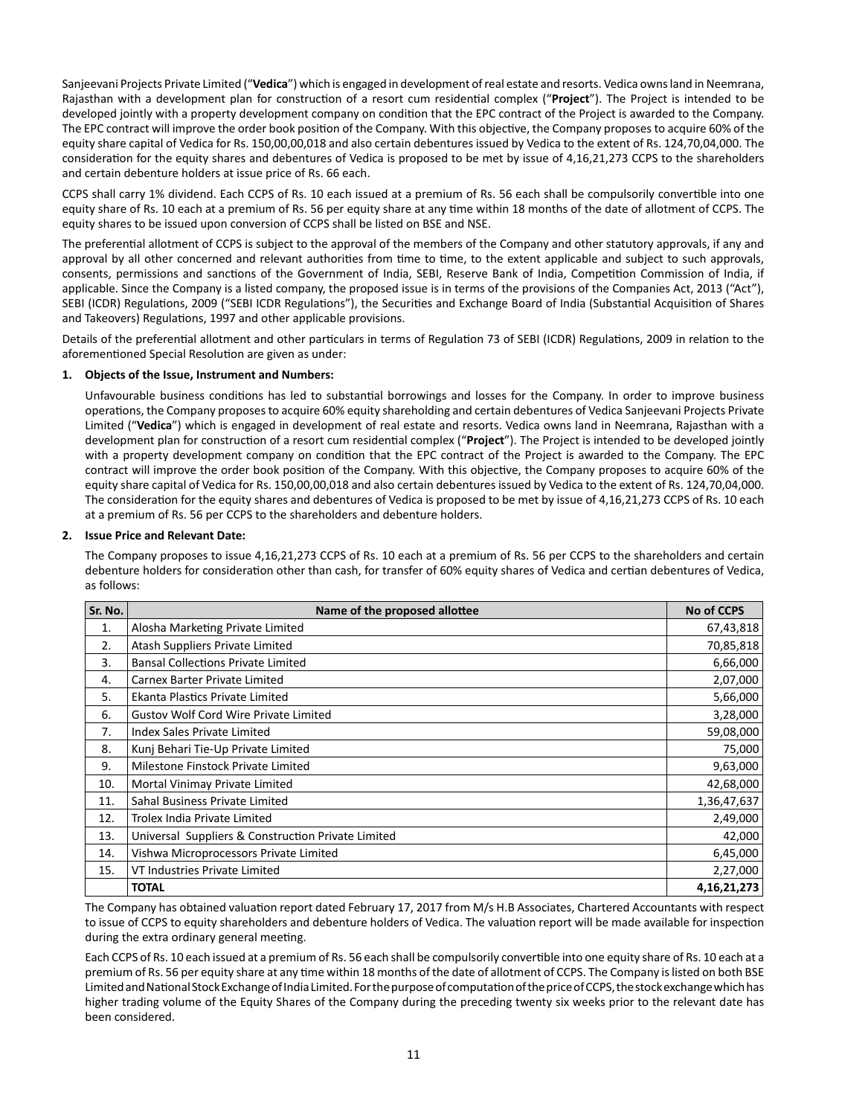Sanjeevani Projects Private Limited ("**Vedica**") which is engaged in development of real estate and resorts. Vedica owns land in Neemrana, Rajasthan with a development plan for construction of a resort cum residential complex ("Project"). The Project is intended to be developed jointly with a property development company on condition that the EPC contract of the Project is awarded to the Company. The EPC contract will improve the order book position of the Company. With this objective, the Company proposes to acquire 60% of the equity share capital of Vedica for Rs. 150,00,00,018 and also certain debentures issued by Vedica to the extent of Rs. 124,70,04,000. The consideration for the equity shares and debentures of Vedica is proposed to be met by issue of 4,16,21,273 CCPS to the shareholders and certain debenture holders at issue price of Rs. 66 each.

CCPS shall carry 1% dividend. Each CCPS of Rs. 10 each issued at a premium of Rs. 56 each shall be compulsorily convertible into one equity share of Rs. 10 each at a premium of Rs. 56 per equity share at any time within 18 months of the date of allotment of CCPS. The equity shares to be issued upon conversion of CCPS shall be listed on BSE and NSE.

The preferential allotment of CCPS is subject to the approval of the members of the Company and other statutory approvals, if any and approval by all other concerned and relevant authorities from time to time, to the extent applicable and subject to such approvals, consents, permissions and sanctions of the Government of India, SEBI, Reserve Bank of India, Competition Commission of India, if applicable. Since the Company is a listed company, the proposed issue is in terms of the provisions of the Companies Act, 2013 ("Act"), SEBI (ICDR) Regulations, 2009 ("SEBI ICDR Regulations"), the Securities and Exchange Board of India (Substantial Acquisition of Shares and Takeovers) Regulations, 1997 and other applicable provisions.

Details of the preferential allotment and other particulars in terms of Regulation 73 of SEBI (ICDR) Regulations, 2009 in relation to the aforementioned Special Resolution are given as under:

#### **1. Objects of the Issue, Instrument and Numbers:**

Unfavourable business conditions has led to substantial borrowings and losses for the Company. In order to improve business operations, the Company proposes to acquire 60% equity shareholding and certain debentures of Vedica Sanjeevani Projects Private Limited ("**Vedica**") which is engaged in development of real estate and resorts. Vedica owns land in Neemrana, Rajasthan with a development plan for construction of a resort cum residential complex ("Project"). The Project is intended to be developed jointly with a property development company on condition that the EPC contract of the Project is awarded to the Company. The EPC contract will improve the order book position of the Company. With this objective, the Company proposes to acquire 60% of the equity share capital of Vedica for Rs. 150,00,00,018 and also certain debentures issued by Vedica to the extent of Rs. 124,70,04,000. The consideration for the equity shares and debentures of Vedica is proposed to be met by issue of 4,16,21,273 CCPS of Rs. 10 each at a premium of Rs. 56 per CCPS to the shareholders and debenture holders.

#### **2. Issue Price and Relevant Date:**

 The Company proposes to issue 4,16,21,273 CCPS of Rs. 10 each at a premium of Rs. 56 per CCPS to the shareholders and certain debenture holders for consideration other than cash, for transfer of 60% equity shares of Vedica and certian debentures of Vedica, as follows:

| Sr. No. | Name of the proposed allottee                      | <b>No of CCPS</b> |
|---------|----------------------------------------------------|-------------------|
| 1.      | Alosha Marketing Private Limited                   | 67,43,818         |
| 2.      | Atash Suppliers Private Limited                    | 70,85,818         |
| 3.      | <b>Bansal Collections Private Limited</b>          | 6,66,000          |
| 4.      | Carnex Barter Private Limited                      | 2,07,000          |
| 5.      | Ekanta Plastics Private Limited                    | 5,66,000          |
| 6.      | <b>Gustov Wolf Cord Wire Private Limited</b>       | 3,28,000          |
| 7.      | Index Sales Private Limited                        | 59,08,000         |
| 8.      | Kunj Behari Tie-Up Private Limited                 | 75,000            |
| 9.      | Milestone Finstock Private Limited                 | 9,63,000          |
| 10.     | Mortal Vinimay Private Limited                     | 42,68,000         |
| 11.     | Sahal Business Private Limited                     | 1,36,47,637       |
| 12.     | Trolex India Private Limited                       | 2,49,000          |
| 13.     | Universal Suppliers & Construction Private Limited | 42,000            |
| 14.     | Vishwa Microprocessors Private Limited             | 6,45,000          |
| 15.     | VT Industries Private Limited                      | 2,27,000          |
|         | <b>TOTAL</b>                                       | 4, 16, 21, 273    |

The Company has obtained valuation report dated February 17, 2017 from M/s H.B Associates, Chartered Accountants with respect to issue of CCPS to equity shareholders and debenture holders of Vedica. The valuation report will be made available for inspection during the extra ordinary general meeting.

Each CCPS of Rs. 10 each issued at a premium of Rs. 56 each shall be compulsorily convertible into one equity share of Rs. 10 each at a premium of Rs. 56 per equity share at any time within 18 months of the date of allotment of CCPS. The Company is listed on both BSE Limited and National Stock Exchange of India Limited. For the purpose of computation of the price of CCPS, the stock exchange which has higher trading volume of the Equity Shares of the Company during the preceding twenty six weeks prior to the relevant date has been considered.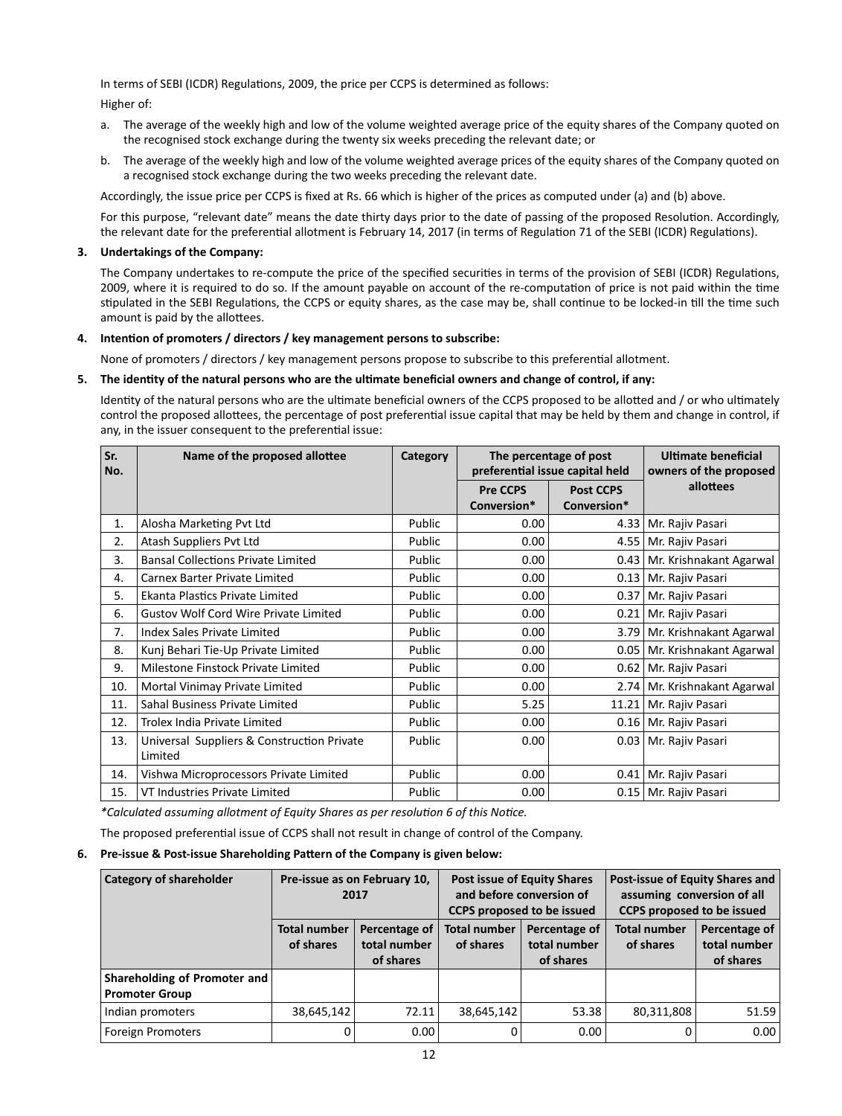In terms of SEBI (ICDR) Regulations, 2009, the price per CCPS is determined as follows:

Higher of:

- a. The average of the weekly high and low of the volume weighted average price of the equity shares of the Company quoted on the recognised stock exchange during the twenty six weeks preceding the relevant date; or
- b. The average of the weekly high and low of the volume weighted average prices of the equity shares of the Company quoted on a recognised stock exchange during the two weeks preceding the relevant date.

Accordingly, the issue price per CCPS is fixed at Rs. 66 which is higher of the prices as computed under (a) and (b) above.

For this purpose, "relevant date" means the date thirty days prior to the date of passing of the proposed Resolution. Accordingly, the relevant date for the preferential allotment is February 14, 2017 (in terms of Regulation 71 of the SEBI (ICDR) Regulations).

#### **3. Undertakings of the Company:**

The Company undertakes to re-compute the price of the specified securities in terms of the provision of SEBI (ICDR) Regulations, 2009, where it is required to do so. If the amount payable on account of the re-computation of price is not paid within the time stipulated in the SEBI Regulations, the CCPS or equity shares, as the case may be, shall continue to be locked-in till the time such amount is paid by the allottees.

#### **4. IntenƟ on of promoters / directors / key management persons to subscribe:**

None of promoters / directors / key management persons propose to subscribe to this preferential allotment.

#### **5. The idenƟ ty of the natural persons who are the ulƟ mate benefi cial owners and change of control, if any:**

Identity of the natural persons who are the ultimate beneficial owners of the CCPS proposed to be allotted and / or who ultimately control the proposed allottees, the percentage of post preferential issue capital that may be held by them and change in control, if any, in the issuer consequent to the preferential issue:

| Sr.<br>No. | Name of the proposed allottee                         | Category |                                | The percentage of post<br>preferential issue capital held | Ultimate beneficial<br>owners of the proposed |
|------------|-------------------------------------------------------|----------|--------------------------------|-----------------------------------------------------------|-----------------------------------------------|
|            |                                                       |          | <b>Pre CCPS</b><br>Conversion* | <b>Post CCPS</b><br>Conversion*                           | allottees                                     |
| 1.         | Alosha Marketing Pvt Ltd                              | Public   | 0.00                           | 4.33                                                      | Mr. Rajiv Pasari                              |
| 2.         | Atash Suppliers Pvt Ltd                               | Public   | 0.00                           |                                                           | 4.55   Mr. Rajiv Pasari                       |
| 3.         | <b>Bansal Collections Private Limited</b>             | Public   | 0.00                           |                                                           | 0.43   Mr. Krishnakant Agarwal                |
| 4.         | Carnex Barter Private Limited                         | Public   | 0.00                           |                                                           | 0.13   Mr. Rajiv Pasari                       |
| 5.         | Ekanta Plastics Private Limited                       | Public   | 0.00                           |                                                           | 0.37   Mr. Rajiv Pasari                       |
| 6.         | <b>Gustov Wolf Cord Wire Private Limited</b>          | Public   | 0.00                           |                                                           | 0.21   Mr. Rajiv Pasari                       |
| 7.         | Index Sales Private Limited                           | Public   | 0.00                           |                                                           | 3.79 Mr. Krishnakant Agarwal                  |
| 8.         | Kunj Behari Tie-Up Private Limited                    | Public   | 0.00                           |                                                           | 0.05   Mr. Krishnakant Agarwal                |
| 9.         | Milestone Finstock Private Limited                    | Public   | 0.00                           |                                                           | 0.62   Mr. Rajiv Pasari                       |
| 10.        | Mortal Vinimay Private Limited                        | Public   | 0.00                           |                                                           | 2.74 Mr. Krishnakant Agarwal                  |
| 11.        | Sahal Business Private Limited                        | Public   | 5.25                           |                                                           | 11.21   Mr. Rajiv Pasari                      |
| 12.        | Trolex India Private Limited                          | Public   | 0.00                           |                                                           | 0.16   Mr. Rajiv Pasari                       |
| 13.        | Universal Suppliers & Construction Private<br>Limited | Public   | 0.00                           |                                                           | 0.03   Mr. Rajiv Pasari                       |
| 14.        | Vishwa Microprocessors Private Limited                | Public   | 0.00                           | 0.41                                                      | Mr. Rajiv Pasari                              |
| 15.        | VT Industries Private Limited                         | Public   | 0.00                           |                                                           | 0.15   Mr. Rajiv Pasari                       |

*\*Calculated assuming allotment of Equity Shares as per resoluƟon 6 of this NoƟce.*

The proposed preferential issue of CCPS shall not result in change of control of the Company.

#### **6.** Pre-issue & Post-issue Shareholding Pattern of the Company is given below:

| Category of shareholder                               | Pre-issue as on February 10,<br>2017<br><b>Total number</b><br>Percentage of<br>total number<br>of shares<br>of shares |       | <b>Post issue of Equity Shares</b><br>and before conversion of<br><b>CCPS</b> proposed to be issued |                                            | Post-issue of Equity Shares and<br>assuming conversion of all<br><b>CCPS</b> proposed to be issued |                                            |
|-------------------------------------------------------|------------------------------------------------------------------------------------------------------------------------|-------|-----------------------------------------------------------------------------------------------------|--------------------------------------------|----------------------------------------------------------------------------------------------------|--------------------------------------------|
|                                                       |                                                                                                                        |       | <b>Total number</b><br>of shares                                                                    | Percentage of<br>total number<br>of shares | <b>Total number</b><br>of shares                                                                   | Percentage of<br>total number<br>of shares |
| Shareholding of Promoter and<br><b>Promoter Group</b> |                                                                                                                        |       |                                                                                                     |                                            |                                                                                                    |                                            |
| Indian promoters                                      | 38,645,142                                                                                                             | 72.11 | 38,645,142                                                                                          | 53.38                                      | 80,311,808                                                                                         | 51.59                                      |
| <b>Foreign Promoters</b>                              | 0                                                                                                                      | 0.00  |                                                                                                     | 0.00                                       | 0                                                                                                  | 0.00                                       |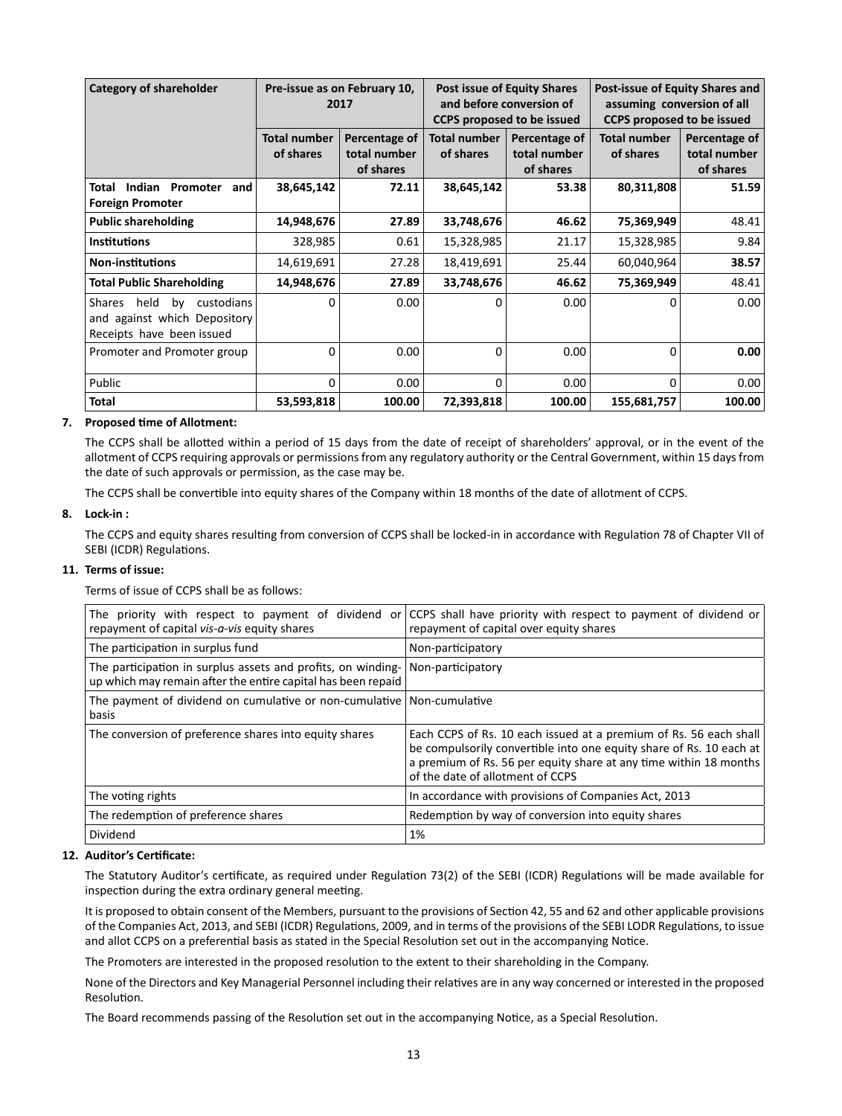| <b>Category of shareholder</b>                                                                         |                                  | Pre-issue as on February 10,<br>2017       |                                  | <b>Post issue of Equity Shares</b><br>and before conversion of<br><b>CCPS proposed to be issued</b> | Post-issue of Equity Shares and<br>assuming conversion of all<br><b>CCPS proposed to be issued</b> |                                            |
|--------------------------------------------------------------------------------------------------------|----------------------------------|--------------------------------------------|----------------------------------|-----------------------------------------------------------------------------------------------------|----------------------------------------------------------------------------------------------------|--------------------------------------------|
|                                                                                                        | <b>Total number</b><br>of shares | Percentage of<br>total number<br>of shares | <b>Total number</b><br>of shares | Percentage of<br>total number<br>of shares                                                          | <b>Total number</b><br>of shares                                                                   | Percentage of<br>total number<br>of shares |
| Indian<br>Total<br>Promoter<br>and<br><b>Foreign Promoter</b>                                          | 38,645,142                       | 72.11                                      | 38,645,142                       | 53.38                                                                                               | 80,311,808                                                                                         | 51.59                                      |
| <b>Public shareholding</b>                                                                             | 14,948,676                       | 27.89                                      | 33,748,676                       | 46.62                                                                                               | 75,369,949                                                                                         | 48.41                                      |
| <b>Institutions</b>                                                                                    | 328,985                          | 0.61                                       | 15,328,985                       | 21.17                                                                                               | 15,328,985                                                                                         | 9.84                                       |
| <b>Non-institutions</b>                                                                                | 14,619,691                       | 27.28                                      | 18,419,691                       | 25.44                                                                                               | 60,040,964                                                                                         | 38.57                                      |
| <b>Total Public Shareholding</b>                                                                       | 14,948,676                       | 27.89                                      | 33,748,676                       | 46.62                                                                                               | 75,369,949                                                                                         | 48.41                                      |
| held<br><b>Shares</b><br>by<br>custodians<br>and against which Depository<br>Receipts have been issued | 0                                | 0.00                                       | $\Omega$                         | 0.00                                                                                                | $\Omega$                                                                                           | 0.00                                       |
| Promoter and Promoter group                                                                            | $\Omega$                         | 0.00                                       | $\Omega$                         | 0.00                                                                                                | 0                                                                                                  | 0.00                                       |
| Public                                                                                                 | $\Omega$                         | 0.00                                       | $\Omega$                         | 0.00                                                                                                | 0                                                                                                  | 0.00                                       |
| <b>Total</b>                                                                                           | 53,593,818                       | 100.00                                     | 72,393,818                       | 100.00                                                                                              | 155,681,757                                                                                        | 100.00                                     |

## **7. Proposed Ɵ me of Allotment:**

The CCPS shall be allotted within a period of 15 days from the date of receipt of shareholders' approval, or in the event of the allotment of CCPS requiring approvals or permissions from any regulatory authority or the Central Government, within 15 days from the date of such approvals or permission, as the case may be.

The CCPS shall be convertible into equity shares of the Company within 18 months of the date of allotment of CCPS.

#### **8. Lock-in :**

The CCPS and equity shares resulting from conversion of CCPS shall be locked-in in accordance with Regulation 78 of Chapter VII of SEBI (ICDR) Regulations.

#### **11. Terms of issue:**

Terms of issue of CCPS shall be as follows:

| The priority with respect to payment of dividend or<br>repayment of capital vis-a-vis equity shares                          | CCPS shall have priority with respect to payment of dividend or<br>repayment of capital over equity shares                                                                                                                                        |
|------------------------------------------------------------------------------------------------------------------------------|---------------------------------------------------------------------------------------------------------------------------------------------------------------------------------------------------------------------------------------------------|
| The participation in surplus fund                                                                                            | Non-participatory                                                                                                                                                                                                                                 |
| The participation in surplus assets and profits, on winding-<br>up which may remain after the entire capital has been repaid | Non-participatory                                                                                                                                                                                                                                 |
| The payment of dividend on cumulative or non-cumulative Non-cumulative<br>basis                                              |                                                                                                                                                                                                                                                   |
| The conversion of preference shares into equity shares                                                                       | Each CCPS of Rs. 10 each issued at a premium of Rs. 56 each shall<br>be compulsorily convertible into one equity share of Rs. 10 each at<br>a premium of Rs. 56 per equity share at any time within 18 months<br>of the date of allotment of CCPS |
| The voting rights                                                                                                            | In accordance with provisions of Companies Act, 2013                                                                                                                                                                                              |
| The redemption of preference shares                                                                                          | Redemption by way of conversion into equity shares                                                                                                                                                                                                |
| Dividend                                                                                                                     | 1%                                                                                                                                                                                                                                                |

#### 12. Auditor's Certificate:

The Statutory Auditor's certificate, as required under Regulation 73(2) of the SEBI (ICDR) Regulations will be made available for inspection during the extra ordinary general meeting.

It is proposed to obtain consent of the Members, pursuant to the provisions of Section 42, 55 and 62 and other applicable provisions of the Companies Act, 2013, and SEBI (ICDR) Regulations, 2009, and in terms of the provisions of the SEBI LODR Regulations, to issue and allot CCPS on a preferential basis as stated in the Special Resolution set out in the accompanying Notice.

The Promoters are interested in the proposed resolution to the extent to their shareholding in the Company.

None of the Directors and Key Managerial Personnel including their relatives are in any way concerned or interested in the proposed Resolution.

The Board recommends passing of the Resolution set out in the accompanying Notice, as a Special Resolution.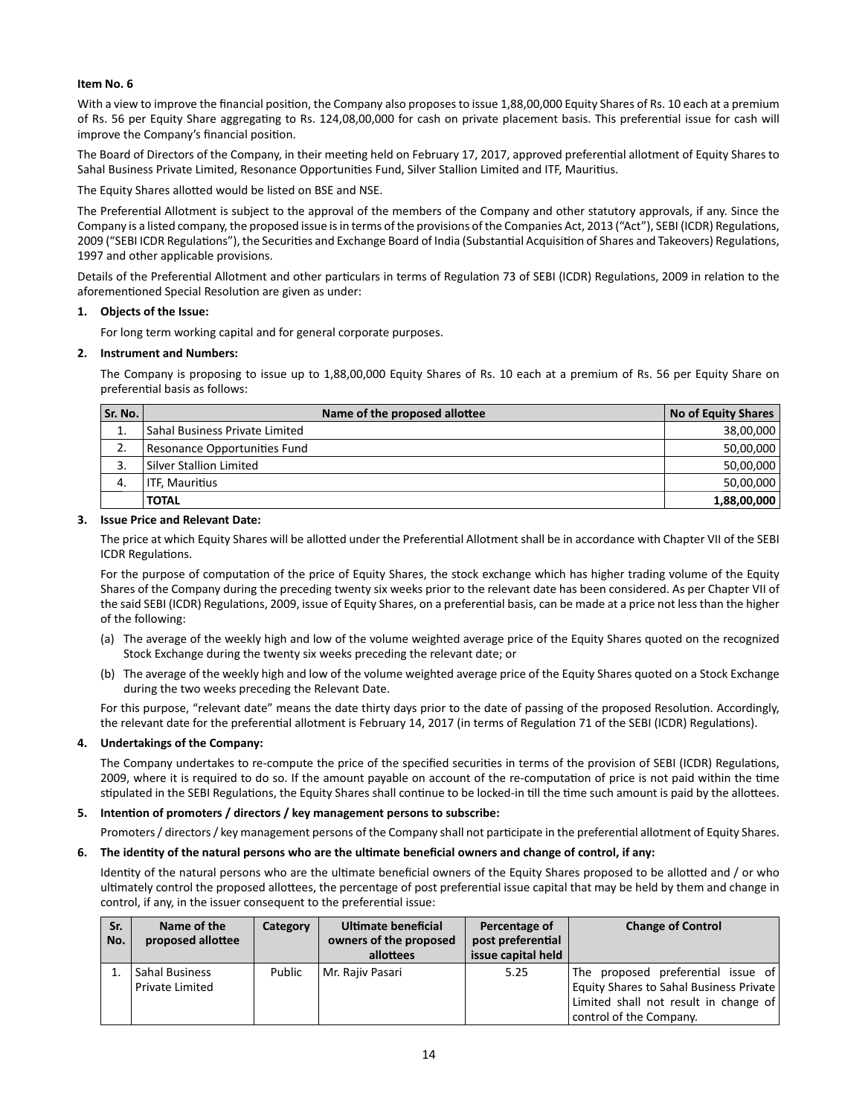#### **Item No. 6**

With a view to improve the financial position, the Company also proposes to issue 1,88,00,000 Equity Shares of Rs. 10 each at a premium of Rs. 56 per Equity Share aggregating to Rs. 124,08,00,000 for cash on private placement basis. This preferential issue for cash will improve the Company's financial position.

The Board of Directors of the Company, in their meeting held on February 17, 2017, approved preferential allotment of Equity Shares to Sahal Business Private Limited, Resonance Opportunities Fund, Silver Stallion Limited and ITF, Mauritius.

The Equity Shares allotted would be listed on BSE and NSE.

The Preferential Allotment is subject to the approval of the members of the Company and other statutory approvals, if any. Since the Company is a listed company, the proposed issue is in terms of the provisions of the Companies Act, 2013 ("Act"), SEBI (ICDR) Regulations, 2009 ("SEBI ICDR Regulations"), the Securities and Exchange Board of India (Substantial Acquisition of Shares and Takeovers) Regulations, 1997 and other applicable provisions.

Details of the Preferential Allotment and other particulars in terms of Regulation 73 of SEBI (ICDR) Regulations, 2009 in relation to the aforementioned Special Resolution are given as under:

## **1. Objects of the Issue:**

For long term working capital and for general corporate purposes.

#### **2. Instrument and Numbers:**

The Company is proposing to issue up to 1,88,00,000 Equity Shares of Rs. 10 each at a premium of Rs. 56 per Equity Share on preferential basis as follows:

| Sr. No. | Name of the proposed allottee  | No of Equity Shares |
|---------|--------------------------------|---------------------|
| ⊥.      | Sahal Business Private Limited | 38,00,000           |
| 2.      | Resonance Opportunities Fund   | 50,00,000           |
|         | Silver Stallion Limited        | 50,00,000           |
| 4.      | ITF. Mauritius                 | 50,00,000           |
|         | <b>TOTAL</b>                   | 1,88,00,000         |

#### **3. Issue Price and Relevant Date:**

The price at which Equity Shares will be allotted under the Preferential Allotment shall be in accordance with Chapter VII of the SEBI **ICDR Regulations.** 

For the purpose of computation of the price of Equity Shares, the stock exchange which has higher trading volume of the Equity Shares of the Company during the preceding twenty six weeks prior to the relevant date has been considered. As per Chapter VII of the said SEBI (ICDR) Regulations, 2009, issue of Equity Shares, on a preferential basis, can be made at a price not less than the higher of the following:

- (a) The average of the weekly high and low of the volume weighted average price of the Equity Shares quoted on the recognized Stock Exchange during the twenty six weeks preceding the relevant date; or
- (b) The average of the weekly high and low of the volume weighted average price of the Equity Shares quoted on a Stock Exchange during the two weeks preceding the Relevant Date.

For this purpose, "relevant date" means the date thirty days prior to the date of passing of the proposed Resolution. Accordingly, the relevant date for the preferential allotment is February 14, 2017 (in terms of Regulation 71 of the SEBI (ICDR) Regulations).

## **4. Undertakings of the Company:**

The Company undertakes to re-compute the price of the specified securities in terms of the provision of SEBI (ICDR) Regulations, 2009, where it is required to do so. If the amount payable on account of the re-computation of price is not paid within the time stipulated in the SEBI Regulations, the Equity Shares shall continue to be locked-in till the time such amount is paid by the allottees.

## **5.** Intention of promoters / directors / key management persons to subscribe:

Promoters / directors / key management persons of the Company shall not participate in the preferential allotment of Equity Shares.

#### **6. The idenƟ ty of the natural persons who are the ulƟ mate benefi cial owners and change of control, if any:**

Identity of the natural persons who are the ultimate beneficial owners of the Equity Shares proposed to be allotted and / or who ultimately control the proposed allottees, the percentage of post preferential issue capital that may be held by them and change in control, if any, in the issuer consequent to the preferential issue:

| Sr.<br>No. | Name of the<br>proposed allottee  | Category | Ultimate beneficial<br>owners of the proposed<br>allottees | Percentage of<br>post preferential<br>issue capital held | <b>Change of Control</b>                                                                                                                                 |
|------------|-----------------------------------|----------|------------------------------------------------------------|----------------------------------------------------------|----------------------------------------------------------------------------------------------------------------------------------------------------------|
|            | Sahal Business<br>Private Limited | Public   | Mr. Rajiv Pasari                                           | 5.25                                                     | The proposed preferential issue of<br><b>Equity Shares to Sahal Business Private</b><br>Limited shall not result in change of<br>control of the Company. |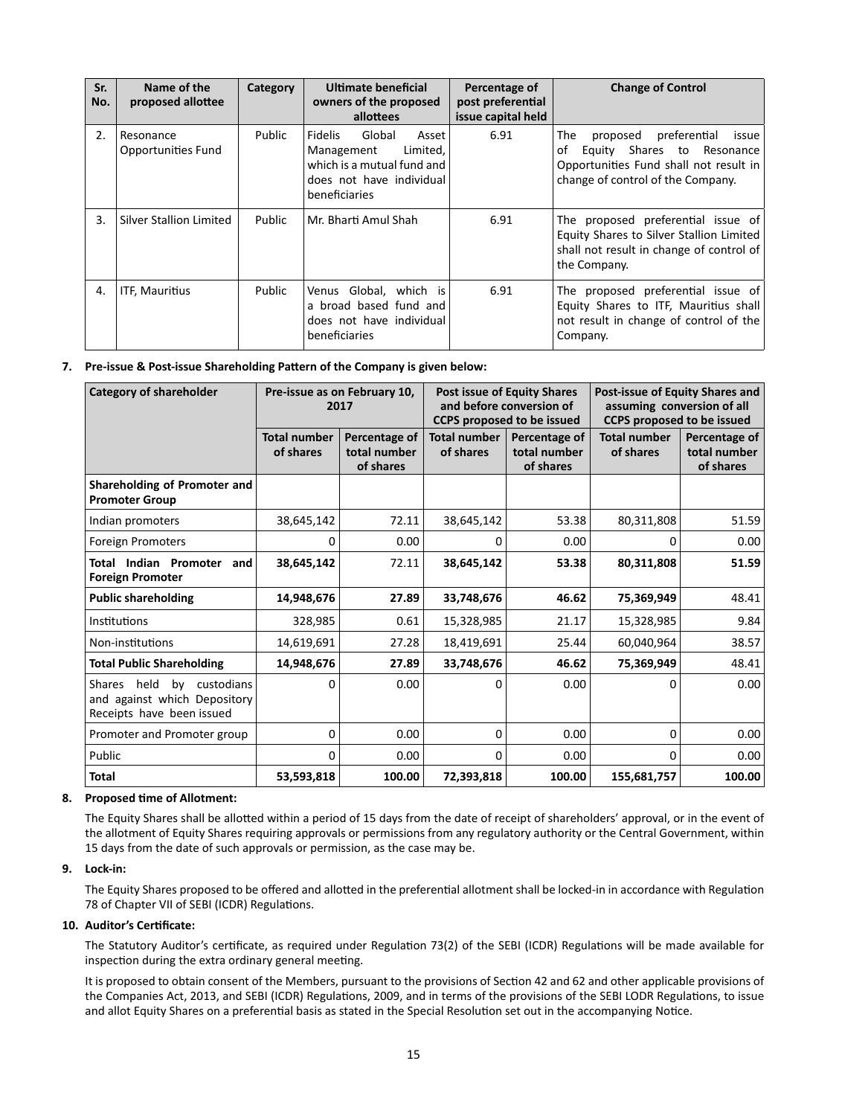| Sr.<br>No. | Name of the<br>proposed allottee | Category | Ultimate beneficial<br>owners of the proposed<br>allottees                                                                             | Percentage of<br>post preferential<br>issue capital held | <b>Change of Control</b>                                                                                                                                 |
|------------|----------------------------------|----------|----------------------------------------------------------------------------------------------------------------------------------------|----------------------------------------------------------|----------------------------------------------------------------------------------------------------------------------------------------------------------|
| 2.         | Resonance<br>Opportunities Fund  | Public   | <b>Fidelis</b><br>Global<br>Asset<br>Limited,<br>Management<br>which is a mutual fund and<br>does not have individual<br>beneficiaries | 6.91                                                     | proposed preferential<br>The<br>issue<br>Equity Shares to Resonance<br>οf<br>Opportunities Fund shall not result in<br>change of control of the Company. |
| 3.         | Silver Stallion Limited          | Public   | Mr. Bharti Amul Shah                                                                                                                   | 6.91                                                     | The proposed preferential issue of<br>Equity Shares to Silver Stallion Limited<br>shall not result in change of control of<br>the Company.               |
| 4.         | <b>ITF, Mauritius</b>            | Public   | Venus Global, which is<br>a broad based fund and<br>does not have individual<br>beneficiaries                                          | 6.91                                                     | The proposed preferential issue of<br>Equity Shares to ITF, Mauritius shall<br>not result in change of control of the<br>Company.                        |

## **7.** Pre-issue & Post-issue Shareholding Pattern of the Company is given below:

| <b>Category of shareholder</b>                                                                  | Pre-issue as on February 10,<br>2017 |                                            | <b>Post issue of Equity Shares</b><br>and before conversion of<br><b>CCPS proposed to be issued</b> |                                            | Post-issue of Equity Shares and<br>assuming conversion of all<br><b>CCPS proposed to be issued</b> |                                            |
|-------------------------------------------------------------------------------------------------|--------------------------------------|--------------------------------------------|-----------------------------------------------------------------------------------------------------|--------------------------------------------|----------------------------------------------------------------------------------------------------|--------------------------------------------|
|                                                                                                 | <b>Total number</b><br>of shares     | Percentage of<br>total number<br>of shares | <b>Total number</b><br>of shares                                                                    | Percentage of<br>total number<br>of shares | <b>Total number</b><br>of shares                                                                   | Percentage of<br>total number<br>of shares |
| Shareholding of Promoter and<br><b>Promoter Group</b>                                           |                                      |                                            |                                                                                                     |                                            |                                                                                                    |                                            |
| Indian promoters                                                                                | 38,645,142                           | 72.11                                      | 38,645,142                                                                                          | 53.38                                      | 80,311,808                                                                                         | 51.59                                      |
| Foreign Promoters                                                                               | 0                                    | 0.00                                       | 0                                                                                                   | 0.00                                       | 0                                                                                                  | 0.00                                       |
| Total Indian Promoter<br>and<br><b>Foreign Promoter</b>                                         | 38,645,142                           | 72.11                                      | 38,645,142                                                                                          | 53.38                                      | 80,311,808                                                                                         | 51.59                                      |
| <b>Public shareholding</b>                                                                      | 14,948,676                           | 27.89                                      | 33,748,676                                                                                          | 46.62                                      | 75,369,949                                                                                         | 48.41                                      |
| Institutions                                                                                    | 328,985                              | 0.61                                       | 15,328,985                                                                                          | 21.17                                      | 15,328,985                                                                                         | 9.84                                       |
| Non-institutions                                                                                | 14,619,691                           | 27.28                                      | 18,419,691                                                                                          | 25.44                                      | 60,040,964                                                                                         | 38.57                                      |
| <b>Total Public Shareholding</b>                                                                | 14,948,676                           | 27.89                                      | 33,748,676                                                                                          | 46.62                                      | 75,369,949                                                                                         | 48.41                                      |
| held<br>by<br>Shares<br>custodians<br>and against which Depository<br>Receipts have been issued | $\Omega$                             | 0.00                                       | 0                                                                                                   | 0.00                                       | 0                                                                                                  | 0.00                                       |
| Promoter and Promoter group                                                                     | $\Omega$                             | 0.00                                       | 0                                                                                                   | 0.00                                       | 0                                                                                                  | 0.00                                       |
| Public                                                                                          | $\Omega$                             | 0.00                                       | 0                                                                                                   | 0.00                                       | 0                                                                                                  | 0.00                                       |
| <b>Total</b>                                                                                    | 53,593,818                           | 100.00                                     | 72,393,818                                                                                          | 100.00                                     | 155,681,757                                                                                        | 100.00                                     |

#### **8. Proposed Ɵ me of Allotment:**

The Equity Shares shall be allotted within a period of 15 days from the date of receipt of shareholders' approval, or in the event of the allotment of Equity Shares requiring approvals or permissions from any regulatory authority or the Central Government, within 15 days from the date of such approvals or permission, as the case may be.

# **9. Lock-in:**

The Equity Shares proposed to be offered and allotted in the preferential allotment shall be locked-in in accordance with Regulation 78 of Chapter VII of SEBI (ICDR) Regulations.

#### 10. Auditor's Certificate:

The Statutory Auditor's certificate, as required under Regulation 73(2) of the SEBI (ICDR) Regulations will be made available for inspection during the extra ordinary general meeting.

It is proposed to obtain consent of the Members, pursuant to the provisions of Section 42 and 62 and other applicable provisions of the Companies Act, 2013, and SEBI (ICDR) Regulations, 2009, and in terms of the provisions of the SEBI LODR Regulations, to issue and allot Equity Shares on a preferential basis as stated in the Special Resolution set out in the accompanying Notice.